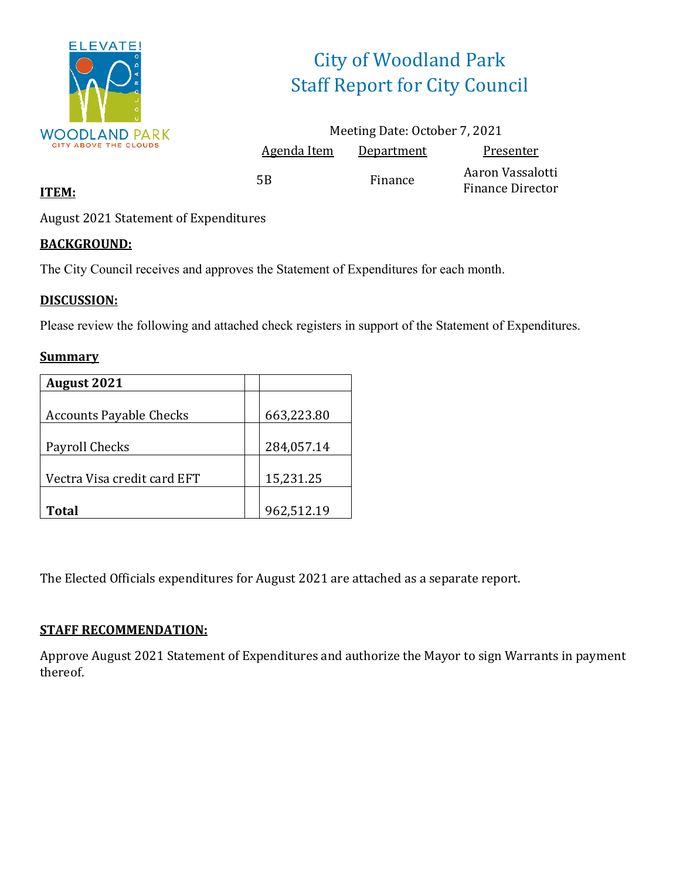

# City of Woodland Park Staff Report for City Council

|                    | Meeting Date: October 7, 2021 |                                             |
|--------------------|-------------------------------|---------------------------------------------|
| <u>Agenda Item</u> | Department                    | Presenter                                   |
| 5B                 | Finance                       | Aaron Vassalotti<br><b>Finance Director</b> |

### **ITEM:**

August 2021 Statement of Expenditures

### **BACKGROUND:**

The City Council receives and approves the Statement of Expenditures for each month.

### **DISCUSSION:**

Please review the following and attached check registers in support of the Statement of Expenditures.

#### **Summary**

| <b>August 2021</b>             |            |
|--------------------------------|------------|
|                                |            |
| <b>Accounts Payable Checks</b> | 663,223.80 |
|                                |            |
| Payroll Checks                 | 284,057.14 |
|                                |            |
| Vectra Visa credit card EFT    | 15,231.25  |
|                                |            |
| <b>Total</b>                   | 962,512.19 |

The Elected Officials expenditures for August 2021 are attached as a separate report.

### **STAFF RECOMMENDATION:**

Approve August 2021 Statement of Expenditures and authorize the Mayor to sign Warrants in payment thereof.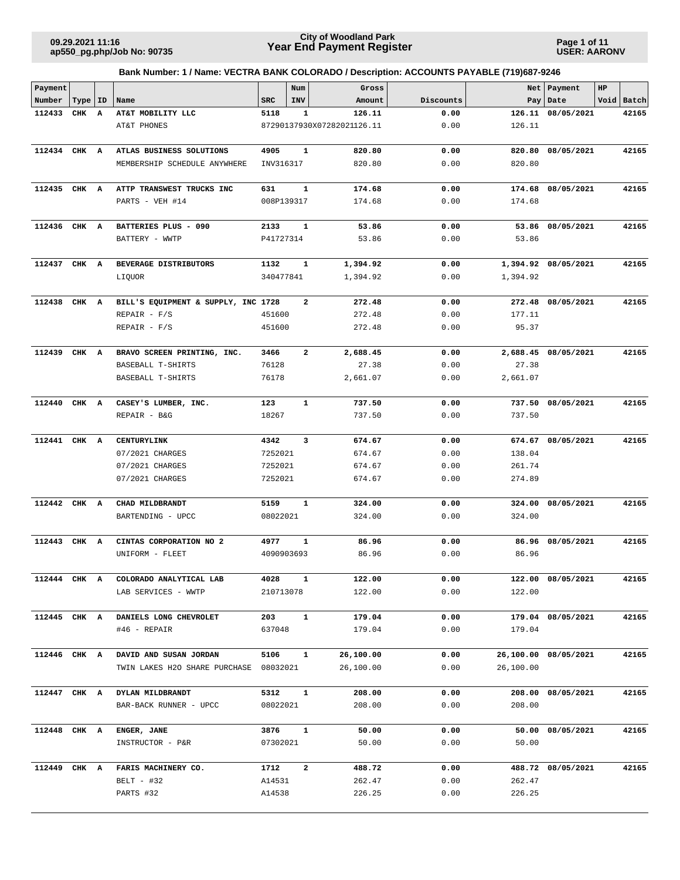**Page 1 of 11 USER: AARONV**

| Payment      |           |   |                                     |            | Num                     | Gross                      |           |           | Net   Payment        | $_{\rm HP}$ |            |
|--------------|-----------|---|-------------------------------------|------------|-------------------------|----------------------------|-----------|-----------|----------------------|-------------|------------|
| Number       | Type   ID |   | Name                                | <b>SRC</b> | INV                     | Amount                     | Discounts |           | Pay   Date           |             | Void Batch |
| 112433       | CHK       | A | AT&T MOBILITY LLC                   | 5118       | 1                       | 126.11                     | 0.00      | 126.11    | 08/05/2021           |             | 42165      |
|              |           |   | AT&T PHONES                         |            |                         | 87290137930X07282021126.11 | 0.00      | 126.11    |                      |             |            |
| 112434 CHK A |           |   | ATLAS BUSINESS SOLUTIONS            | 4905       | $\mathbf{1}$            | 820.80                     | 0.00      | 820.80    | 08/05/2021           |             | 42165      |
|              |           |   |                                     |            |                         | 820.80                     | 0.00      | 820.80    |                      |             |            |
|              |           |   | MEMBERSHIP SCHEDULE ANYWHERE        | INV316317  |                         |                            |           |           |                      |             |            |
| 112435 CHK A |           |   | ATTP TRANSWEST TRUCKS INC           | 631        | $\mathbf{1}$            | 174.68                     | 0.00      | 174.68    | 08/05/2021           |             | 42165      |
|              |           |   | PARTS - VEH #14                     | 008P139317 |                         | 174.68                     | 0.00      | 174.68    |                      |             |            |
|              |           |   |                                     |            |                         |                            |           |           |                      |             |            |
| 112436       | CHK A     |   | BATTERIES PLUS - 090                | 2133       | 1                       | 53.86                      | 0.00      |           | 53.86 08/05/2021     |             | 42165      |
|              |           |   | BATTERY - WWTP                      | P41727314  |                         | 53.86                      | 0.00      | 53.86     |                      |             |            |
|              |           |   |                                     |            |                         |                            |           |           |                      |             |            |
| 112437       | CHK A     |   | BEVERAGE DISTRIBUTORS               | 1132       | 1                       | 1,394.92                   | 0.00      |           | 1,394.92 08/05/2021  |             | 42165      |
|              |           |   | LIQUOR                              | 340477841  |                         | 1,394.92                   | 0.00      | 1,394.92  |                      |             |            |
| 112438       | CHK A     |   | BILL'S EQUIPMENT & SUPPLY, INC 1728 |            | $\overline{\mathbf{2}}$ | 272.48                     | 0.00      |           | 272.48 08/05/2021    |             | 42165      |
|              |           |   | $REPAIR - F/S$                      | 451600     |                         | 272.48                     | 0.00      | 177.11    |                      |             |            |
|              |           |   | $REPAIR - F/S$                      | 451600     |                         | 272.48                     | 0.00      | 95.37     |                      |             |            |
|              |           |   |                                     |            |                         |                            |           |           |                      |             |            |
| 112439       | CHK A     |   | BRAVO SCREEN PRINTING, INC.         | 3466       | $\overline{a}$          | 2,688.45                   | 0.00      |           | 2,688.45 08/05/2021  |             | 42165      |
|              |           |   | BASEBALL T-SHIRTS                   | 76128      |                         | 27.38                      | 0.00      | 27.38     |                      |             |            |
|              |           |   | BASEBALL T-SHIRTS                   | 76178      |                         | 2,661.07                   | 0.00      | 2,661.07  |                      |             |            |
|              |           |   |                                     |            |                         |                            |           |           |                      |             |            |
| 112440       | CHK A     |   | CASEY'S LUMBER, INC.                | 123        | $\mathbf{1}$            | 737.50                     | 0.00      | 737.50    | 08/05/2021           |             | 42165      |
|              |           |   | REPAIR - B&G                        | 18267      |                         | 737.50                     | 0.00      | 737.50    |                      |             |            |
|              |           |   |                                     |            |                         |                            |           |           |                      |             |            |
| 112441 CHK A |           |   | CENTURYLINK                         | 4342       | 3                       | 674.67                     | 0.00      |           | 674.67 08/05/2021    |             | 42165      |
|              |           |   | 07/2021 CHARGES                     | 7252021    |                         | 674.67                     | 0.00      | 138.04    |                      |             |            |
|              |           |   | 07/2021 CHARGES                     | 7252021    |                         | 674.67                     | 0.00      | 261.74    |                      |             |            |
|              |           |   | 07/2021 CHARGES                     | 7252021    |                         | 674.67                     | 0.00      | 274.89    |                      |             |            |
| 112442       | CHK A     |   | CHAD MILDBRANDT                     | 5159       | $\mathbf{1}$            | 324.00                     | 0.00      | 324.00    | 08/05/2021           |             | 42165      |
|              |           |   | BARTENDING - UPCC                   | 08022021   |                         | 324.00                     | 0.00      | 324.00    |                      |             |            |
|              |           |   |                                     |            |                         |                            |           |           |                      |             |            |
| 112443       | CHK A     |   | CINTAS CORPORATION NO 2             | 4977       | $\mathbf{1}$            | 86.96                      | 0.00      |           | 86.96 08/05/2021     |             | 42165      |
|              |           |   | UNIFORM - FLEET                     | 4090903693 |                         | 86.96                      | 0.00      | 86.96     |                      |             |            |
|              |           |   |                                     | 4028       |                         | 122.00                     | 0.00      |           | 122.00 08/05/2021    |             |            |
| 112444 CHK A |           |   | COLORADO ANALYTICAL LAB             |            |                         | 122.00                     | 0.00      |           |                      |             | 42165      |
|              |           |   | LAB SERVICES - WWTP                 | 210713078  |                         |                            |           | 122.00    |                      |             |            |
| 112445 CHK A |           |   | DANIELS LONG CHEVROLET              | 203        | $\mathbf{1}$            | 179.04                     | 0.00      |           | 179.04 08/05/2021    |             | 42165      |
|              |           |   | #46 - REPAIR                        | 637048     |                         | 179.04                     | 0.00      | 179.04    |                      |             |            |
|              |           |   |                                     |            |                         |                            |           |           |                      |             |            |
| 112446 CHK A |           |   | DAVID AND SUSAN JORDAN              | 5106       | $\mathbf{1}$            | 26,100.00                  | 0.00      |           | 26,100.00 08/05/2021 |             | 42165      |
|              |           |   | TWIN LAKES H2O SHARE PURCHASE       | 08032021   |                         | 26,100.00                  | 0.00      | 26,100.00 |                      |             |            |
|              |           |   |                                     |            |                         |                            |           |           |                      |             |            |
| 112447 CHK A |           |   | DYLAN MILDBRANDT                    | 5312       | $\mathbf{1}$            | 208.00                     | 0.00      |           | 208.00 08/05/2021    |             | 42165      |
|              |           |   | BAR-BACK RUNNER - UPCC              | 08022021   |                         | 208.00                     | 0.00      | 208.00    |                      |             |            |
|              |           |   |                                     |            | ${\bf 1}$               |                            |           |           |                      |             |            |
| 112448 CHK A |           |   | ENGER, JANE                         | 3876       |                         | 50.00                      | 0.00      | 50.00     | 08/05/2021           |             | 42165      |
|              |           |   | INSTRUCTOR - P&R                    | 07302021   |                         | 50.00                      | 0.00      | 50.00     |                      |             |            |
| 112449 CHK A |           |   | FARIS MACHINERY CO.                 | 1712       | $\mathbf{2}$            | 488.72                     | 0.00      |           | 488.72 08/05/2021    |             | 42165      |
|              |           |   | BELT - #32                          | A14531     |                         | 262.47                     | 0.00      | 262.47    |                      |             |            |
|              |           |   | PARTS #32                           | A14538     |                         | 226.25                     | 0.00      | 226.25    |                      |             |            |
|              |           |   |                                     |            |                         |                            |           |           |                      |             |            |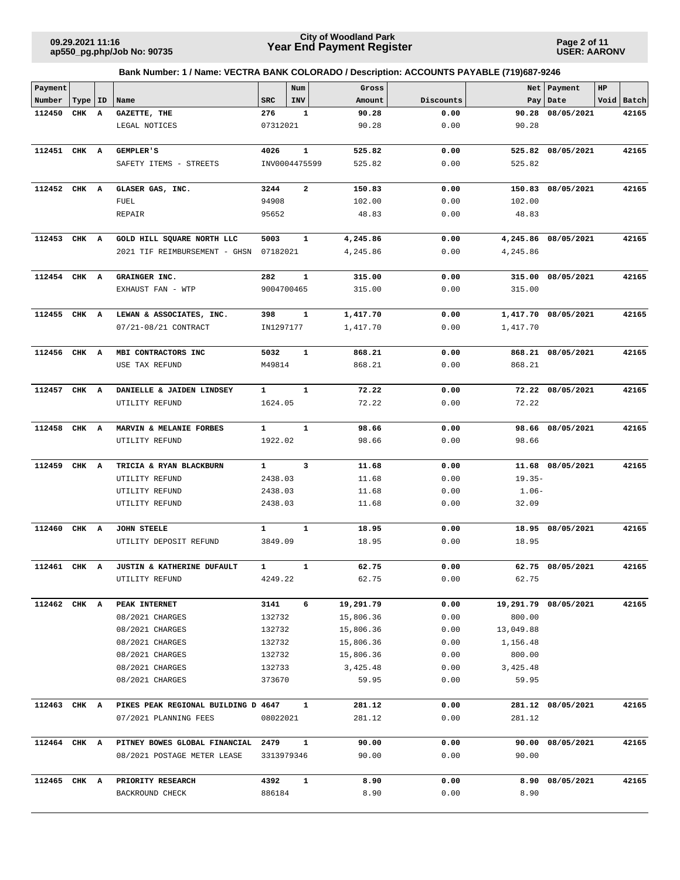**Page 2 of 11 USER: AARONV**

| Payment      |           |              |                                     |              | Num                     | Gross            |              |           | Net   Payment        | HP |            |
|--------------|-----------|--------------|-------------------------------------|--------------|-------------------------|------------------|--------------|-----------|----------------------|----|------------|
| Number       | Type   ID |              | Name                                | <b>SRC</b>   | INV                     | Amount           | Discounts    |           | Pay Date             |    | Void Batch |
| 112450       | CHK       | $\mathbf{A}$ | GAZETTE, THE                        | 276          | $\mathbf{1}$            | 90.28            | 0.00         | 90.28     | 08/05/2021           |    | 42165      |
|              |           |              | LEGAL NOTICES                       | 07312021     |                         | 90.28            | 0.00         | 90.28     |                      |    |            |
| 112451 CHK A |           |              | GEMPLER'S                           | 4026         | $\mathbf{1}$            | 525.82           | 0.00         |           | 525.82 08/05/2021    |    | 42165      |
|              |           |              | SAFETY ITEMS - STREETS              |              | INV0004475599           | 525.82           | 0.00         | 525.82    |                      |    |            |
| 112452 CHK A |           |              | GLASER GAS, INC.                    | 3244         | $\overline{\mathbf{2}}$ |                  |              |           | 150.83 08/05/2021    |    | 42165      |
|              |           |              | FUEL                                | 94908        |                         | 150.83<br>102.00 | 0.00<br>0.00 | 102.00    |                      |    |            |
|              |           |              | REPAIR                              | 95652        |                         | 48.83            | 0.00         | 48.83     |                      |    |            |
| 112453 CHK A |           |              | GOLD HILL SQUARE NORTH LLC          | 5003         | $\mathbf{1}$            | 4,245.86         | 0.00         |           | 4,245.86 08/05/2021  |    | 42165      |
|              |           |              | 2021 TIF REIMBURSEMENT - GHSN       | 07182021     |                         | 4,245.86         | 0.00         | 4,245.86  |                      |    |            |
|              |           |              |                                     |              |                         |                  |              |           |                      |    |            |
| 112454 CHK A |           |              | GRAINGER INC.                       | 282          | $\mathbf{1}$            | 315.00           | 0.00         |           | 315.00 08/05/2021    |    | 42165      |
|              |           |              | EXHAUST FAN - WTP                   | 9004700465   |                         | 315.00           | 0.00         | 315.00    |                      |    |            |
| 112455       | CHK A     |              | LEWAN & ASSOCIATES, INC.            | 398          | 1                       | 1,417.70         | 0.00         |           | 1,417.70 08/05/2021  |    | 42165      |
|              |           |              | 07/21-08/21 CONTRACT                | IN1297177    |                         | 1,417.70         | 0.00         | 1,417.70  |                      |    |            |
|              |           |              |                                     |              |                         |                  |              |           |                      |    |            |
| 112456       | CHK A     |              | MBI CONTRACTORS INC                 | 5032         | $\mathbf{1}$            | 868.21           | 0.00         |           | 868.21 08/05/2021    |    | 42165      |
|              |           |              | USE TAX REFUND                      | M49814       |                         | 868.21           | 0.00         | 868.21    |                      |    |            |
| 112457 CHK A |           |              | DANIELLE & JAIDEN LINDSEY           | $\mathbf{1}$ | $\mathbf{1}$            | 72.22            | 0.00         |           | 72.22 08/05/2021     |    | 42165      |
|              |           |              | UTILITY REFUND                      | 1624.05      |                         | 72.22            | 0.00         | 72.22     |                      |    |            |
| 112458       | CHK A     |              | MARVIN & MELANIE FORBES             | 1            | $\mathbf{1}$            | 98.66            | 0.00         |           | 98.66 08/05/2021     |    | 42165      |
|              |           |              | UTILITY REFUND                      | 1922.02      |                         | 98.66            | 0.00         | 98.66     |                      |    |            |
| 112459       | CHK       | A            | TRICIA & RYAN BLACKBURN             | $\mathbf{1}$ | $\overline{\mathbf{3}}$ | 11.68            | 0.00         |           | 11.68 08/05/2021     |    | 42165      |
|              |           |              | UTILITY REFUND                      | 2438.03      |                         | 11.68            | 0.00         | $19.35-$  |                      |    |            |
|              |           |              | UTILITY REFUND                      | 2438.03      |                         | 11.68            | 0.00         | $1.06-$   |                      |    |            |
|              |           |              | UTILITY REFUND                      | 2438.03      |                         | 11.68            | 0.00         | 32.09     |                      |    |            |
| 112460       | CHK A     |              | <b>JOHN STEELE</b>                  | $\mathbf{1}$ | $\mathbf{1}$            | 18.95            | 0.00         |           | 18.95 08/05/2021     |    | 42165      |
|              |           |              | UTILITY DEPOSIT REFUND              | 3849.09      |                         | 18.95            | 0.00         | 18.95     |                      |    |            |
| 112461 CHK A |           |              | JUSTIN & KATHERINE DUFAULT          | $\mathbf{1}$ | $\mathbf{1}$            | 62.75            | 0.00         |           | 62.75 08/05/2021     |    | 42165      |
|              |           |              | UTILITY REFUND                      | 4249.22      |                         | 62.75            | 0.00         | 62.75     |                      |    |            |
|              |           |              |                                     |              |                         |                  |              |           |                      |    |            |
| 112462 CHK A |           |              | PEAK INTERNET                       | 3141         | 6                       | 19,291.79        | 0.00         |           | 19,291.79 08/05/2021 |    | 42165      |
|              |           |              | 08/2021 CHARGES                     | 132732       |                         | 15,806.36        | 0.00         | 800.00    |                      |    |            |
|              |           |              | 08/2021 CHARGES                     | 132732       |                         | 15,806.36        | 0.00         | 13,049.88 |                      |    |            |
|              |           |              | 08/2021 CHARGES                     | 132732       |                         | 15,806.36        | 0.00         | 1,156.48  |                      |    |            |
|              |           |              | 08/2021 CHARGES                     | 132732       |                         | 15,806.36        | 0.00         | 800.00    |                      |    |            |
|              |           |              | 08/2021 CHARGES                     | 132733       |                         | 3,425.48         | 0.00         | 3,425.48  |                      |    |            |
|              |           |              | 08/2021 CHARGES                     | 373670       |                         | 59.95            | 0.00         | 59.95     |                      |    |            |
| 112463 CHK A |           |              | PIKES PEAK REGIONAL BUILDING D 4647 |              | $\mathbf{1}$            | 281.12           | 0.00         |           | 281.12 08/05/2021    |    | 42165      |
|              |           |              | 07/2021 PLANNING FEES               | 08022021     |                         | 281.12           | 0.00         | 281.12    |                      |    |            |
| 112464 CHK A |           |              | PITNEY BOWES GLOBAL FINANCIAL 2479  |              | $\mathbf{1}$            | 90.00            | 0.00         |           | 90.00 08/05/2021     |    | 42165      |
|              |           |              | 08/2021 POSTAGE METER LEASE         |              | 3313979346              | 90.00            | 0.00         | 90.00     |                      |    |            |
| 112465 CHK A |           |              | PRIORITY RESEARCH                   | 4392         | $\mathbf{1}$            | 8.90             | 0.00         |           | 8.90 08/05/2021      |    | 42165      |
|              |           |              | BACKROUND CHECK                     | 886184       |                         | 8.90             | 0.00         | 8.90      |                      |    |            |
|              |           |              |                                     |              |                         |                  |              |           |                      |    |            |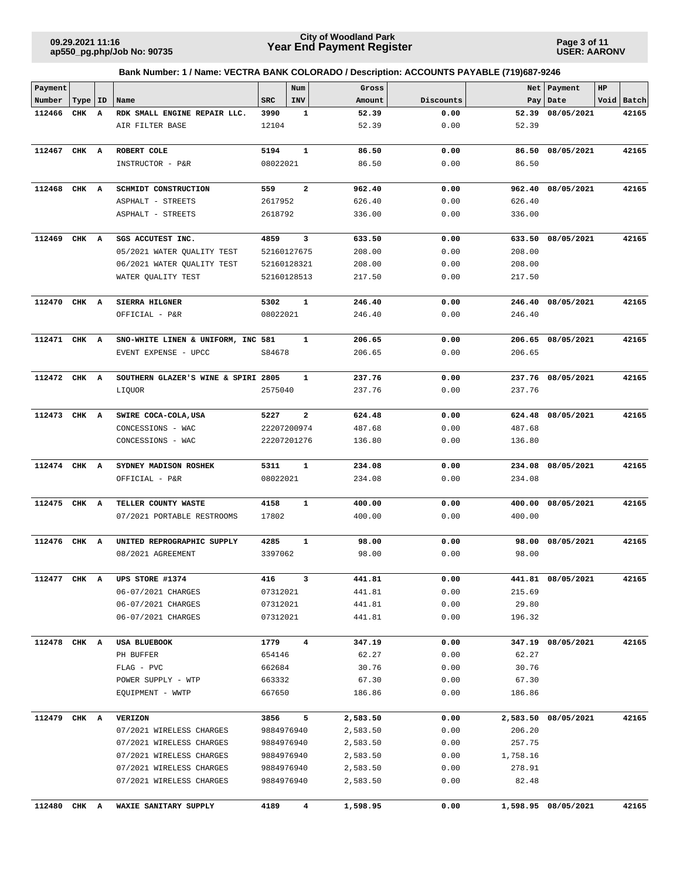**Page 3 of 11 USER: AARONV**

| Payment      |           |   |                                                   |                      | Num                     | Gross            |              |                  | Net   Payment       | HP |            |
|--------------|-----------|---|---------------------------------------------------|----------------------|-------------------------|------------------|--------------|------------------|---------------------|----|------------|
| Number       | Type   ID |   | Name                                              | <b>SRC</b>           | INV                     | Amount           | Discounts    |                  | Pay   Date          |    | Void Batch |
| 112466       | CHK       | A | RDK SMALL ENGINE REPAIR LLC.                      | 3990                 | 1                       | 52.39            | 0.00         | 52.39            | 08/05/2021          |    | 42165      |
|              |           |   | AIR FILTER BASE                                   | 12104                |                         | 52.39            | 0.00         | 52.39            |                     |    |            |
|              |           |   |                                                   |                      |                         |                  |              |                  |                     |    |            |
| 112467 CHK A |           |   | ROBERT COLE                                       | 5194                 | $\mathbf{1}$            | 86.50            | 0.00         | 86.50            | 08/05/2021          |    | 42165      |
|              |           |   | INSTRUCTOR - P&R                                  | 08022021             |                         | 86.50            | 0.00         | 86.50            |                     |    |            |
| 112468       | CHK A     |   | SCHMIDT CONSTRUCTION                              | 559                  | $\overline{\mathbf{2}}$ | 962.40           | 0.00         | 962.40           | 08/05/2021          |    | 42165      |
|              |           |   | ASPHALT - STREETS                                 | 2617952              |                         | 626.40           | 0.00         | 626.40           |                     |    |            |
|              |           |   | ASPHALT - STREETS                                 | 2618792              |                         | 336.00           | 0.00         | 336.00           |                     |    |            |
| 112469       | CHK A     |   | SGS ACCUTEST INC.                                 | 4859                 | 3                       | 633.50           | 0.00         |                  | 633.50 08/05/2021   |    | 42165      |
|              |           |   | 05/2021 WATER QUALITY TEST                        | 52160127675          |                         | 208.00           | 0.00         | 208.00           |                     |    |            |
|              |           |   | 06/2021 WATER QUALITY TEST                        | 52160128321          |                         | 208.00           | 0.00         | 208.00           |                     |    |            |
|              |           |   | WATER QUALITY TEST                                | 52160128513          |                         | 217.50           | 0.00         | 217.50           |                     |    |            |
|              |           |   |                                                   |                      |                         |                  |              |                  |                     |    |            |
| 112470 CHK A |           |   | SIERRA HILGNER                                    | 5302                 | 1                       | 246.40           | 0.00         |                  | 246.40 08/05/2021   |    | 42165      |
|              |           |   | OFFICIAL - P&R                                    | 08022021             |                         | 246.40           | 0.00         | 246.40           |                     |    |            |
| 112471       | CHK A     |   | SNO-WHITE LINEN & UNIFORM, INC 581                |                      | 1                       | 206.65           | 0.00         |                  | 206.65 08/05/2021   |    | 42165      |
|              |           |   | EVENT EXPENSE - UPCC                              | S84678               |                         | 206.65           | 0.00         | 206.65           |                     |    |            |
| 112472 CHK A |           |   | SOUTHERN GLAZER'S WINE & SPIRI 2805               |                      | $\mathbf{1}$            | 237.76           | 0.00         |                  | 237.76 08/05/2021   |    | 42165      |
|              |           |   | LIQUOR                                            | 2575040              |                         | 237.76           | 0.00         | 237.76           |                     |    |            |
|              |           |   |                                                   |                      |                         |                  |              |                  |                     |    |            |
| 112473 CHK A |           |   | SWIRE COCA-COLA, USA                              | 5227                 | $\mathbf{2}$            | 624.48           | 0.00         |                  | 624.48 08/05/2021   |    | 42165      |
|              |           |   | CONCESSIONS - WAC                                 | 22207200974          |                         | 487.68           | 0.00         | 487.68           |                     |    |            |
|              |           |   | CONCESSIONS - WAC                                 | 22207201276          |                         | 136.80           | 0.00         | 136.80           |                     |    |            |
| 112474 CHK A |           |   | SYDNEY MADISON ROSHEK                             | 5311                 | $\mathbf{1}$            | 234.08           | 0.00         | 234.08           | 08/05/2021          |    | 42165      |
|              |           |   | OFFICIAL - P&R                                    | 08022021             |                         | 234.08           | 0.00         | 234.08           |                     |    |            |
|              |           |   |                                                   |                      |                         |                  |              |                  |                     |    |            |
| 112475 CHK A |           |   | TELLER COUNTY WASTE<br>07/2021 PORTABLE RESTROOMS | 4158<br>17802        | $\mathbf{1}$            | 400.00<br>400.00 | 0.00<br>0.00 | 400.00<br>400.00 | 08/05/2021          |    | 42165      |
|              |           |   |                                                   |                      |                         |                  |              |                  |                     |    |            |
| 112476 CHK A |           |   | UNITED REPROGRAPHIC SUPPLY                        | 4285                 | 1                       | 98.00            | 0.00         | 98.00            | 08/05/2021          |    | 42165      |
|              |           |   | 08/2021 AGREEMENT                                 | 3397062              |                         | 98.00            | 0.00         | 98.00            |                     |    |            |
| 112477 CHK A |           |   |                                                   | 416                  |                         |                  | 0.00         |                  |                     |    |            |
|              |           |   | UPS STORE #1374                                   |                      |                         | 441.81           |              |                  | 441.81 08/05/2021   |    | 42165      |
|              |           |   | 06-07/2021 CHARGES<br>06-07/2021 CHARGES          | 07312021<br>07312021 |                         | 441.81<br>441.81 | 0.00<br>0.00 | 215.69<br>29.80  |                     |    |            |
|              |           |   | 06-07/2021 CHARGES                                | 07312021             |                         | 441.81           | 0.00         | 196.32           |                     |    |            |
|              |           |   |                                                   |                      |                         |                  |              |                  |                     |    |            |
| 112478 CHK A |           |   | USA BLUEBOOK                                      | 1779                 | $\overline{\mathbf{4}}$ | 347.19           | 0.00         |                  | 347.19 08/05/2021   |    | 42165      |
|              |           |   | PH BUFFER                                         | 654146               |                         | 62.27            | 0.00         | 62.27            |                     |    |            |
|              |           |   | FLAG - PVC                                        | 662684               |                         | 30.76            | 0.00         | 30.76            |                     |    |            |
|              |           |   | POWER SUPPLY - WTP                                | 663332               |                         | 67.30            | 0.00         | 67.30            |                     |    |            |
|              |           |   | EQUIPMENT - WWTP                                  | 667650               |                         | 186.86           | 0.00         | 186.86           |                     |    |            |
| 112479 CHK A |           |   | <b>VERIZON</b>                                    | 3856                 | 5                       | 2,583.50         | 0.00         |                  | 2,583.50 08/05/2021 |    | 42165      |
|              |           |   | 07/2021 WIRELESS CHARGES                          | 9884976940           |                         | 2,583.50         | 0.00         | 206.20           |                     |    |            |
|              |           |   | 07/2021 WIRELESS CHARGES                          | 9884976940           |                         | 2,583.50         | 0.00         | 257.75           |                     |    |            |
|              |           |   | 07/2021 WIRELESS CHARGES                          | 9884976940           |                         | 2,583.50         | 0.00         | 1,758.16         |                     |    |            |
|              |           |   | 07/2021 WIRELESS CHARGES                          | 9884976940           |                         | 2,583.50         | 0.00         | 278.91           |                     |    |            |
|              |           |   | 07/2021 WIRELESS CHARGES                          | 9884976940           |                         | 2,583.50         | 0.00         | 82.48            |                     |    |            |
|              |           |   |                                                   |                      |                         |                  |              |                  |                     |    |            |
| 112480 CHK A |           |   | WAXIE SANITARY SUPPLY                             | 4189                 | 4                       | 1,598.95         | 0.00         |                  | 1,598.95 08/05/2021 |    | 42165      |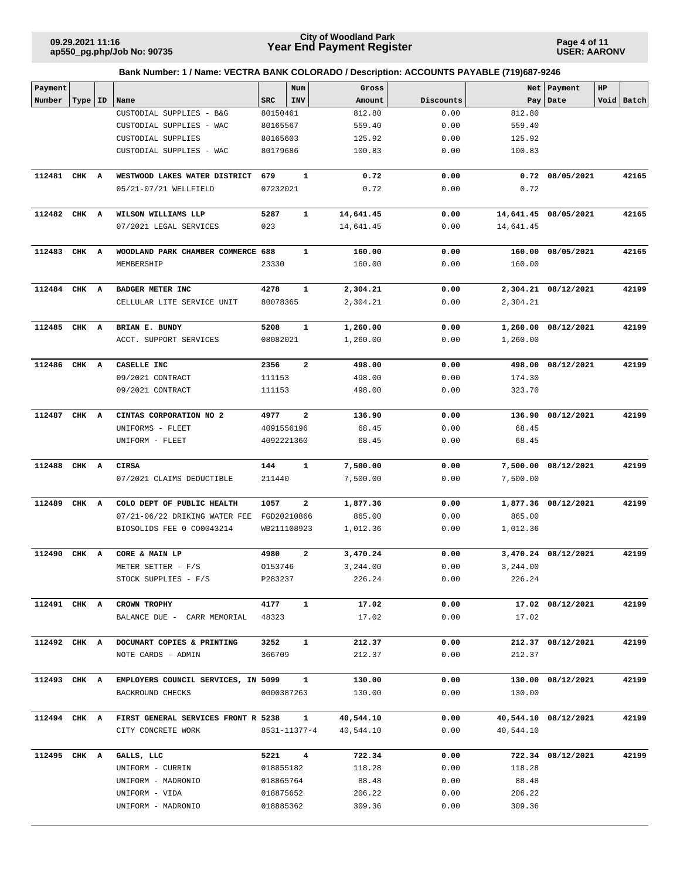**Page 4 of 11 USER: AARONV**

| Payment      |           |   |                                     |              | Num          | Gross     |           |           | Net   Payment        | $_{\rm HP}$ |            |
|--------------|-----------|---|-------------------------------------|--------------|--------------|-----------|-----------|-----------|----------------------|-------------|------------|
| Number       | Type   ID |   | Name                                | <b>SRC</b>   | <b>INV</b>   | Amount    | Discounts |           | Pay   Date           |             | Void Batch |
|              |           |   | CUSTODIAL SUPPLIES - B&G            | 80150461     |              | 812.80    | 0.00      | 812.80    |                      |             |            |
|              |           |   | CUSTODIAL SUPPLIES - WAC            | 80165567     |              | 559.40    | 0.00      | 559.40    |                      |             |            |
|              |           |   | CUSTODIAL SUPPLIES                  | 80165603     |              | 125.92    | 0.00      | 125.92    |                      |             |            |
|              |           |   | CUSTODIAL SUPPLIES - WAC            | 80179686     |              | 100.83    | 0.00      | 100.83    |                      |             |            |
| 112481 CHK A |           |   | WESTWOOD LAKES WATER DISTRICT       | 679          | $\mathbf{1}$ | 0.72      | 0.00      |           | $0.72$ $08/05/2021$  |             | 42165      |
|              |           |   | 05/21-07/21 WELLFIELD               | 07232021     |              | 0.72      | 0.00      | 0.72      |                      |             |            |
| 112482 CHK A |           |   | WILSON WILLIAMS LLP                 | 5287         | 1            | 14,641.45 | 0.00      |           | 14,641.45 08/05/2021 |             | 42165      |
|              |           |   | 07/2021 LEGAL SERVICES              | 023          |              | 14,641.45 | 0.00      | 14,641.45 |                      |             |            |
| 112483       | CHK A     |   | WOODLAND PARK CHAMBER COMMERCE 688  |              | $\mathbf{1}$ | 160.00    | 0.00      |           | 160.00 08/05/2021    |             | 42165      |
|              |           |   | MEMBERSHIP                          | 23330        |              | 160.00    | 0.00      | 160.00    |                      |             |            |
| 112484       | CHK A     |   | BADGER METER INC                    | 4278         | 1            | 2,304.21  | 0.00      |           | 2,304.21 08/12/2021  |             | 42199      |
|              |           |   | CELLULAR LITE SERVICE UNIT          | 80078365     |              | 2,304.21  | 0.00      | 2,304.21  |                      |             |            |
| 112485 CHK A |           |   | BRIAN E. BUNDY                      | 5208         | 1            | 1,260.00  | 0.00      |           | 1,260.00 08/12/2021  |             | 42199      |
|              |           |   | ACCT. SUPPORT SERVICES              | 08082021     |              | 1,260.00  | 0.00      | 1,260.00  |                      |             |            |
| 112486       | CHK A     |   | CASELLE INC                         | 2356         | $\mathbf{2}$ | 498.00    | 0.00      |           | 498.00 08/12/2021    |             | 42199      |
|              |           |   | 09/2021 CONTRACT                    | 111153       |              | 498.00    | 0.00      | 174.30    |                      |             |            |
|              |           |   | 09/2021 CONTRACT                    | 111153       |              | 498.00    | 0.00      | 323.70    |                      |             |            |
| 112487 CHK A |           |   | CINTAS CORPORATION NO 2             | 4977         | 2            | 136.90    | 0.00      |           | 136.90 08/12/2021    |             | 42199      |
|              |           |   | UNIFORMS - FLEET                    | 4091556196   |              | 68.45     | 0.00      | 68.45     |                      |             |            |
|              |           |   | UNIFORM - FLEET                     | 4092221360   |              | 68.45     | 0.00      | 68.45     |                      |             |            |
| 112488       | CHK A     |   | <b>CIRSA</b>                        | 144          | $\mathbf{1}$ | 7,500.00  | 0.00      |           | 7,500.00 08/12/2021  |             | 42199      |
|              |           |   | 07/2021 CLAIMS DEDUCTIBLE           | 211440       |              | 7,500.00  | 0.00      | 7,500.00  |                      |             |            |
| 112489       | CHK       | A | COLO DEPT OF PUBLIC HEALTH          | 1057         | 2            | 1,877.36  | 0.00      |           | 1,877.36 08/12/2021  |             | 42199      |
|              |           |   | 07/21-06/22 DRIKING WATER FEE       | FGD20210866  |              | 865.00    | 0.00      | 865.00    |                      |             |            |
|              |           |   | BIOSOLIDS FEE 0 CO0043214           | WB211108923  |              | 1,012.36  | 0.00      | 1,012.36  |                      |             |            |
| 112490 CHK A |           |   | CORE & MAIN LP                      | 4980         | 2            | 3,470.24  | 0.00      |           | 3,470.24 08/12/2021  |             | 42199      |
|              |           |   | METER SETTER - F/S                  | 0153746      |              | 3,244.00  | 0.00      | 3,244.00  |                      |             |            |
|              |           |   | STOCK SUPPLIES - F/S                | P283237      |              | 226.24    | 0.00      | 226.24    |                      |             |            |
| 112491 CHK A |           |   | CROWN TROPHY                        | 4177         | $\mathbf{1}$ | 17.02     | 0.00      |           | 17.02 08/12/2021     |             | 42199      |
|              |           |   | BALANCE DUE - CARR MEMORIAL         | 48323        |              | 17.02     | 0.00      | 17.02     |                      |             |            |
| 112492 CHK A |           |   | DOCUMART COPIES & PRINTING          | 3252         | $\mathbf{1}$ | 212.37    | 0.00      |           | 212.37 08/12/2021    |             | 42199      |
|              |           |   | NOTE CARDS - ADMIN                  | 366709       |              | 212.37    | 0.00      | 212.37    |                      |             |            |
| 112493 CHK A |           |   | EMPLOYERS COUNCIL SERVICES, IN 5099 |              | $\mathbf{1}$ | 130.00    | 0.00      |           | 130.00 08/12/2021    |             | 42199      |
|              |           |   | BACKROUND CHECKS                    | 0000387263   |              | 130.00    | 0.00      | 130.00    |                      |             |            |
| 112494 CHK A |           |   | FIRST GENERAL SERVICES FRONT R 5238 |              | $\mathbf{1}$ | 40,544.10 | 0.00      |           | 40,544.10 08/12/2021 |             | 42199      |
|              |           |   | CITY CONCRETE WORK                  | 8531-11377-4 |              | 40,544.10 | 0.00      | 40,544.10 |                      |             |            |
| 112495 CHK A |           |   | GALLS, LLC                          | 5221         | 4            | 722.34    | 0.00      |           | 722.34 08/12/2021    |             | 42199      |
|              |           |   | UNIFORM - CURRIN                    | 018855182    |              | 118.28    | 0.00      | 118.28    |                      |             |            |
|              |           |   | UNIFORM - MADRONIO                  | 018865764    |              | 88.48     | 0.00      | 88.48     |                      |             |            |
|              |           |   | UNIFORM - VIDA                      | 018875652    |              | 206.22    | 0.00      | 206.22    |                      |             |            |
|              |           |   | UNIFORM - MADRONIO                  | 018885362    |              | 309.36    | 0.00      | 309.36    |                      |             |            |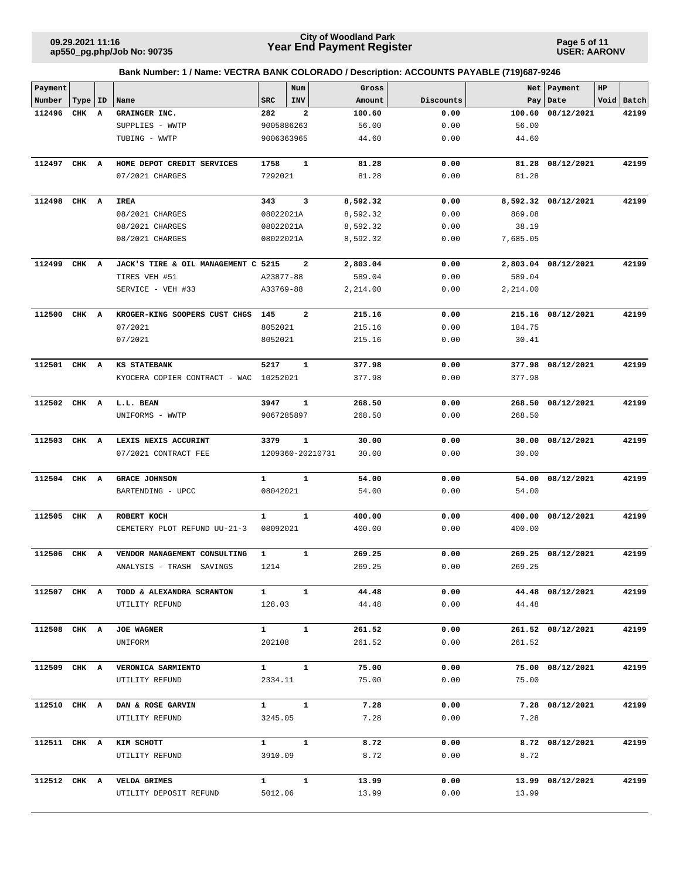**Page 5 of 11 USER: AARONV**

| Payment      |       |    |                                     |                   | Num                     | Gross                     |           |          | Net   Payment       | HP |            |
|--------------|-------|----|-------------------------------------|-------------------|-------------------------|---------------------------|-----------|----------|---------------------|----|------------|
| Number       | Type  | ID | Name                                | <b>SRC</b>        | INV                     | Amount                    | Discounts |          | Pay   Date          |    | Void Batch |
| 112496       | CHK A |    | GRAINGER INC.                       | 282               | $\mathbf{2}$            | 100.60                    | 0.00      | 100.60   | 08/12/2021          |    | 42199      |
|              |       |    | SUPPLIES - WWTP                     | 9005886263        |                         | 56.00                     | 0.00      | 56.00    |                     |    |            |
|              |       |    | TUBING - WWTP                       | 9006363965        |                         | 44.60                     | 0.00      | 44.60    |                     |    |            |
|              |       |    |                                     |                   |                         |                           |           |          |                     |    |            |
| 112497       | CHK A |    | HOME DEPOT CREDIT SERVICES          | 1758              | 1                       | 81.28                     | 0.00      | 81.28    | 08/12/2021          |    | 42199      |
|              |       |    | 07/2021 CHARGES                     | 7292021           |                         | 81.28                     | 0.00      | 81.28    |                     |    |            |
| 112498       | CHK A |    | <b>IREA</b>                         | 343               | 3                       | 8,592.32                  | 0.00      |          | 8,592.32 08/12/2021 |    | 42199      |
|              |       |    | 08/2021 CHARGES                     | 08022021A         |                         | 8,592.32                  | 0.00      | 869.08   |                     |    |            |
|              |       |    | 08/2021 CHARGES                     | 08022021A         |                         | 8,592.32                  | 0.00      | 38.19    |                     |    |            |
|              |       |    | 08/2021 CHARGES                     | 08022021A         |                         | 8,592.32                  | 0.00      | 7,685.05 |                     |    |            |
|              |       |    |                                     |                   |                         |                           |           |          |                     |    |            |
| 112499       | CHK A |    | JACK'S TIRE & OIL MANAGEMENT C 5215 |                   | 2                       | 2,803.04                  | 0.00      |          | 2,803.04 08/12/2021 |    | 42199      |
|              |       |    | TIRES VEH #51                       | A23877-88         |                         | 589.04                    | 0.00      | 589.04   |                     |    |            |
|              |       |    | SERVICE - VEH #33                   | A33769-88         |                         | 2,214.00                  | 0.00      | 2,214.00 |                     |    |            |
| 112500       | CHK A |    | KROGER-KING SOOPERS CUST CHGS       | 145               | $\overline{\mathbf{2}}$ | 215.16                    | 0.00      |          | 215.16 08/12/2021   |    | 42199      |
|              |       |    | 07/2021                             | 8052021           |                         | 215.16                    | 0.00      | 184.75   |                     |    |            |
|              |       |    | 07/2021                             | 8052021           |                         | 215.16                    | 0.00      | 30.41    |                     |    |            |
|              |       |    |                                     |                   |                         |                           |           |          |                     |    |            |
| 112501 CHK A |       |    | <b>KS STATEBANK</b>                 | 5217              | 1                       | 377.98                    | 0.00      |          | 377.98 08/12/2021   |    | 42199      |
|              |       |    | KYOCERA COPIER CONTRACT - WAC       | 10252021          |                         | 377.98                    | 0.00      | 377.98   |                     |    |            |
|              |       |    |                                     |                   |                         |                           |           |          |                     |    |            |
| 112502       | CHK A |    | L.L. BEAN                           | 3947              | $\mathbf{1}$            | 268.50                    | 0.00      | 268.50   | 08/12/2021          |    | 42199      |
|              |       |    | UNIFORMS - WWTP                     | 9067285897        |                         | 268.50                    | 0.00      | 268.50   |                     |    |            |
| 112503       | CHK A |    | LEXIS NEXIS ACCURINT                | 3379              | 1                       | 30.00                     | 0.00      | 30.00    | 08/12/2021          |    | 42199      |
|              |       |    | 07/2021 CONTRACT FEE                |                   |                         | 1209360-20210731<br>30.00 | 0.00      | 30.00    |                     |    |            |
|              |       |    |                                     |                   |                         |                           |           |          |                     |    |            |
| 112504       | CHK A |    | <b>GRACE JOHNSON</b>                | 1                 | 1                       | 54.00                     | 0.00      | 54.00    | 08/12/2021          |    | 42199      |
|              |       |    | BARTENDING - UPCC                   | 08042021          |                         | 54.00                     | 0.00      | 54.00    |                     |    |            |
|              |       |    |                                     |                   |                         |                           |           |          |                     |    |            |
| 112505       | CHK A |    | ROBERT KOCH                         | $\mathbf{1}$      | $\mathbf{1}$            | 400.00                    | 0.00      | 400.00   | 08/12/2021          |    | 42199      |
|              |       |    | CEMETERY PLOT REFUND UU-21-3        | 08092021          |                         | 400.00                    | 0.00      | 400.00   |                     |    |            |
| 112506       | CHK A |    | VENDOR MANAGEMENT CONSULTING        | $\mathbf{1}$      | 1                       | 269.25                    | 0.00      | 269.25   | 08/12/2021          |    | 42199      |
|              |       |    | ANALYSIS - TRASH SAVINGS            | 1214              |                         | 269.25                    | 0.00      | 269.25   |                     |    |            |
|              |       |    |                                     |                   |                         |                           |           |          |                     |    |            |
| 112507 CHK A |       |    | TODD & ALEXANDRA SCRANTON           | $\mathbf{1}$      | $\mathbf{1}$            | 44.48                     | 0.00      |          | 44.48 08/12/2021    |    | 42199      |
|              |       |    | UTILITY REFUND                      | 128.03            |                         | 44.48                     | 0.00      | 44.48    |                     |    |            |
|              |       |    |                                     |                   |                         |                           |           |          |                     |    |            |
| 112508 CHK A |       |    | <b>JOE WAGNER</b>                   | $\mathbf{1}$      | $\mathbf{1}$            | 261.52                    | 0.00      |          | 261.52 08/12/2021   |    | 42199      |
|              |       |    | UNIFORM                             | 202108            |                         | 261.52                    | 0.00      | 261.52   |                     |    |            |
| 112509 CHK A |       |    | VERONICA SARMIENTO                  | $1 \quad \cdots$  | $\mathbf{1}$            | 75.00                     | 0.00      |          | 75.00 08/12/2021    |    | 42199      |
|              |       |    | UTILITY REFUND                      | 2334.11           |                         | 75.00                     | 0.00      | 75.00    |                     |    |            |
|              |       |    |                                     |                   |                         |                           |           |          |                     |    |            |
| 112510 CHK A |       |    | DAN & ROSE GARVIN                   | $\mathbf{1}$      | $\mathbf{1}$            | 7.28                      | 0.00      |          | 7.28 08/12/2021     |    | 42199      |
|              |       |    | UTILITY REFUND                      | 3245.05           |                         | 7.28                      | 0.00      | 7.28     |                     |    |            |
|              |       |    |                                     |                   |                         |                           |           |          |                     |    |            |
| 112511 CHK A |       |    | KIM SCHOTT                          | $1 \quad$         | $\mathbf{1}$            | 8.72                      | 0.00      |          | 8.72 08/12/2021     |    | 42199      |
|              |       |    | UTILITY REFUND                      | 3910.09           |                         | 8.72                      | 0.00      | 8.72     |                     |    |            |
| 112512 CHK A |       |    | <b>VELDA GRIMES</b>                 | $1 \qquad \qquad$ | $\mathbf{1}$            | 13.99                     | 0.00      |          | 13.99 08/12/2021    |    | 42199      |
|              |       |    | UTILITY DEPOSIT REFUND              | 5012.06           |                         | 13.99                     | 0.00      | 13.99    |                     |    |            |
|              |       |    |                                     |                   |                         |                           |           |          |                     |    |            |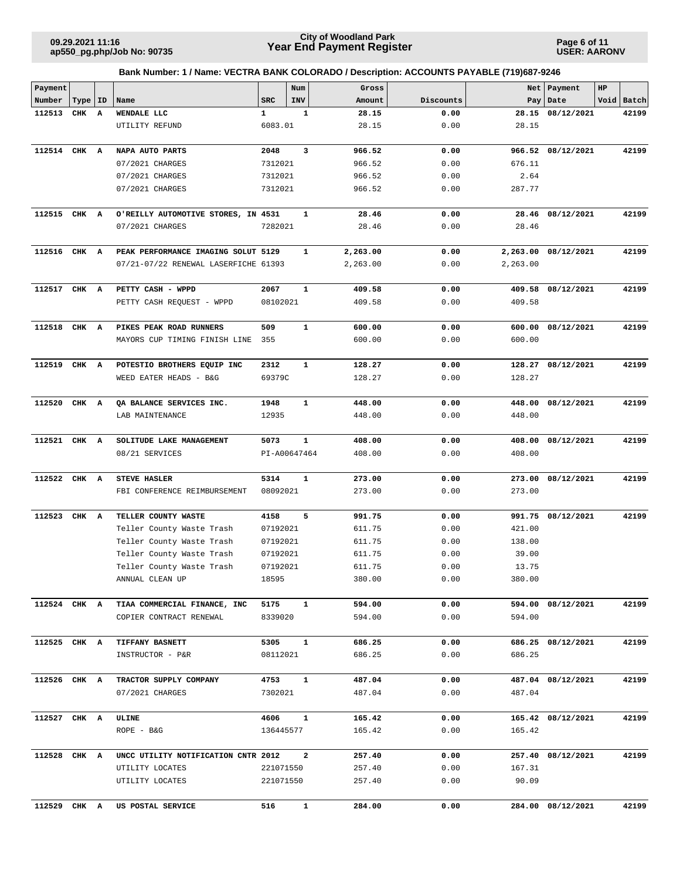**Page 6 of 11 USER: AARONV**

| Payment      |           |              |                                      |              | Num          | Gross    |           |          | Net   Payment       | HP |            |
|--------------|-----------|--------------|--------------------------------------|--------------|--------------|----------|-----------|----------|---------------------|----|------------|
| Number       | Type   ID |              | Name                                 | <b>SRC</b>   | INV          | Amount   | Discounts |          | Pay Date            |    | Void Batch |
| 112513       | CHK       | $\mathbf{A}$ | WENDALE LLC                          | 1            | 1            | 28.15    | 0.00      |          | 28.15 08/12/2021    |    | 42199      |
|              |           |              | UTILITY REFUND                       | 6083.01      |              | 28.15    | 0.00      | 28.15    |                     |    |            |
| 112514 CHK A |           |              | NAPA AUTO PARTS                      | 2048         | 3            | 966.52   | 0.00      |          | 966.52 08/12/2021   |    | 42199      |
|              |           |              | 07/2021 CHARGES                      | 7312021      |              | 966.52   | 0.00      | 676.11   |                     |    |            |
|              |           |              | 07/2021 CHARGES                      | 7312021      |              | 966.52   | 0.00      | 2.64     |                     |    |            |
|              |           |              | 07/2021 CHARGES                      | 7312021      |              | 966.52   | 0.00      | 287.77   |                     |    |            |
|              |           |              |                                      |              |              |          |           |          |                     |    |            |
| 112515 CHK A |           |              | O'REILLY AUTOMOTIVE STORES, IN 4531  |              | 1            | 28.46    | 0.00      |          | 28.46 08/12/2021    |    | 42199      |
|              |           |              | 07/2021 CHARGES                      | 7282021      |              | 28.46    | 0.00      | 28.46    |                     |    |            |
| 112516 CHK A |           |              | PEAK PERFORMANCE IMAGING SOLUT 5129  |              | 1            | 2,263.00 | 0.00      |          | 2,263.00 08/12/2021 |    | 42199      |
|              |           |              | 07/21-07/22 RENEWAL LASERFICHE 61393 |              |              | 2,263.00 | 0.00      | 2,263.00 |                     |    |            |
|              |           |              |                                      |              |              |          |           |          |                     |    |            |
| 112517 CHK A |           |              | PETTY CASH - WPPD                    | 2067         | 1            | 409.58   | 0.00      |          | 409.58 08/12/2021   |    | 42199      |
|              |           |              | PETTY CASH REQUEST - WPPD            | 08102021     |              | 409.58   | 0.00      | 409.58   |                     |    |            |
| 112518       | CHK A     |              | PIKES PEAK ROAD RUNNERS              | 509          | 1            | 600.00   | 0.00      |          | 600.00 08/12/2021   |    | 42199      |
|              |           |              | MAYORS CUP TIMING FINISH LINE        | 355          |              | 600.00   | 0.00      | 600.00   |                     |    |            |
|              |           |              |                                      |              |              |          |           |          |                     |    |            |
| 112519 CHK A |           |              | POTESTIO BROTHERS EQUIP INC          | 2312         | $\mathbf{1}$ | 128.27   | 0.00      | 128.27   | 08/12/2021          |    | 42199      |
|              |           |              | WEED EATER HEADS - B&G               | 69379C       |              | 128.27   | 0.00      | 128.27   |                     |    |            |
|              |           |              |                                      |              |              |          |           |          |                     |    |            |
| 112520 CHK A |           |              | QA BALANCE SERVICES INC.             | 1948         | 1            | 448.00   | 0.00      | 448.00   | 08/12/2021          |    | 42199      |
|              |           |              | LAB MAINTENANCE                      | 12935        |              | 448.00   | 0.00      | 448.00   |                     |    |            |
| 112521       | CHK A     |              | SOLITUDE LAKE MANAGEMENT             | 5073         | 1            | 408.00   | 0.00      | 408.00   | 08/12/2021          |    | 42199      |
|              |           |              | 08/21 SERVICES                       | PI-A00647464 |              | 408.00   | 0.00      | 408.00   |                     |    |            |
|              |           |              |                                      |              |              |          |           |          |                     |    |            |
| 112522 CHK A |           |              | <b>STEVE HASLER</b>                  | 5314         | $\mathbf{1}$ | 273.00   | 0.00      | 273.00   | 08/12/2021          |    | 42199      |
|              |           |              | FBI CONFERENCE REIMBURSEMENT         | 08092021     |              | 273.00   | 0.00      | 273.00   |                     |    |            |
| 112523       | CHK A     |              | TELLER COUNTY WASTE                  | 4158         | 5            | 991.75   | 0.00      |          | 991.75 08/12/2021   |    | 42199      |
|              |           |              | Teller County Waste Trash            | 07192021     |              | 611.75   | 0.00      | 421.00   |                     |    |            |
|              |           |              | Teller County Waste Trash            | 07192021     |              | 611.75   | 0.00      | 138.00   |                     |    |            |
|              |           |              | Teller County Waste Trash            | 07192021     |              | 611.75   | 0.00      | 39.00    |                     |    |            |
|              |           |              | Teller County Waste Trash            | 07192021     |              | 611.75   | 0.00      | 13.75    |                     |    |            |
|              |           |              | ANNUAL CLEAN UP                      | 18595        |              | 380.00   | 0.00      | 380.00   |                     |    |            |
| 112524 CHK A |           |              | TIAA COMMERCIAL FINANCE, INC         | 5175         | $\mathbf{1}$ | 594.00   | 0.00      |          | 594.00 08/12/2021   |    | 42199      |
|              |           |              | COPIER CONTRACT RENEWAL              | 8339020      |              | 594.00   | 0.00      | 594.00   |                     |    |            |
|              |           |              |                                      |              |              |          |           |          |                     |    |            |
| 112525 CHK A |           |              | <b>TIFFANY BASNETT</b>               | 5305         | $\mathbf{1}$ | 686.25   | 0.00      |          | 686.25 08/12/2021   |    | 42199      |
|              |           |              | INSTRUCTOR - P&R                     | 08112021     |              | 686.25   | 0.00      | 686.25   |                     |    |            |
| 112526 CHK A |           |              | TRACTOR SUPPLY COMPANY               | 4753         | $\mathbf{1}$ | 487.04   | 0.00      |          | 487.04 08/12/2021   |    | 42199      |
|              |           |              | 07/2021 CHARGES                      | 7302021      |              | 487.04   | 0.00      | 487.04   |                     |    |            |
|              |           |              |                                      |              |              |          |           |          |                     |    |            |
| 112527 CHK A |           |              | ULINE                                | 4606         | $\mathbf{1}$ | 165.42   | 0.00      |          | 165.42 08/12/2021   |    | 42199      |
|              |           |              | $ROPE - B&G$                         | 136445577    |              | 165.42   | 0.00      | 165.42   |                     |    |            |
| 112528 CHK A |           |              | UNCC UTILITY NOTIFICATION CNTR 2012  |              | 2            | 257.40   | 0.00      |          | 257.40 08/12/2021   |    | 42199      |
|              |           |              | UTILITY LOCATES                      | 221071550    |              | 257.40   | 0.00      | 167.31   |                     |    |            |
|              |           |              | UTILITY LOCATES                      | 221071550    |              | 257.40   | 0.00      | 90.09    |                     |    |            |
|              |           |              |                                      |              |              |          |           |          |                     |    |            |
| 112529 CHK A |           |              | US POSTAL SERVICE                    | 516          | $\mathbf{1}$ | 284.00   | 0.00      |          | 284.00 08/12/2021   |    | 42199      |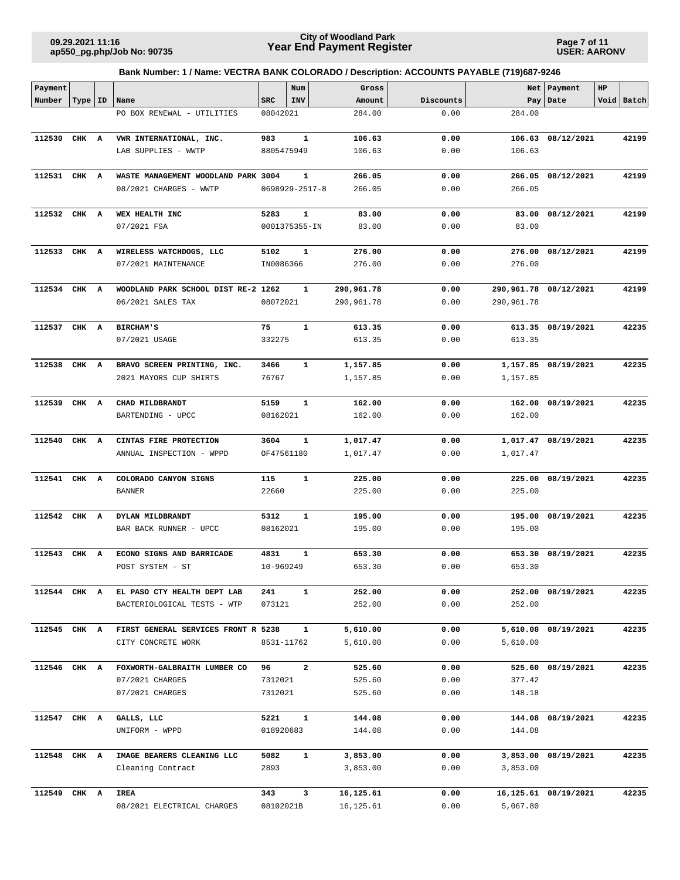**Page 7 of 11 USER: AARONV**

| Payment      |           |   |                                     |            | $\texttt{Num}$       | Gross      |           |            | Net   Payment         | $_{\rm HP}$ |            |
|--------------|-----------|---|-------------------------------------|------------|----------------------|------------|-----------|------------|-----------------------|-------------|------------|
| Number       | Type   ID |   | Name                                | <b>SRC</b> | <b>INV</b>           | Amount     | Discounts |            | Pay   Date            |             | Void Batch |
|              |           |   | PO BOX RENEWAL - UTILITIES          | 08042021   |                      | 284.00     | 0.00      | 284.00     |                       |             |            |
|              |           |   |                                     |            |                      |            |           |            |                       |             |            |
| 112530       | CHK A     |   | VWR INTERNATIONAL, INC.             | 983        | 1                    | 106.63     | 0.00      | 106.63     | 08/12/2021            |             | 42199      |
|              |           |   | LAB SUPPLIES - WWTP                 | 8805475949 |                      | 106.63     | 0.00      | 106.63     |                       |             |            |
|              |           |   |                                     |            |                      |            |           |            |                       |             |            |
| 112531 CHK A |           |   | WASTE MANAGEMENT WOODLAND PARK 3004 |            | $\mathbf{1}$         | 266.05     | 0.00      | 266.05     | 08/12/2021            |             | 42199      |
|              |           |   | 08/2021 CHARGES - WWTP              |            | $0698929 - 2517 - 8$ | 266.05     | 0.00      | 266.05     |                       |             |            |
|              |           |   |                                     |            |                      |            |           |            |                       |             |            |
| 112532 CHK A |           |   | WEX HEALTH INC                      | 5283       | 1                    | 83.00      | 0.00      | 83.00      | 08/12/2021            |             | 42199      |
|              |           |   | 07/2021 FSA                         |            | 0001375355-IN        | 83.00      | 0.00      | 83.00      |                       |             |            |
|              |           |   |                                     |            |                      |            |           |            |                       |             |            |
| 112533       | CHK A     |   | WIRELESS WATCHDOGS, LLC             | 5102       | 1                    | 276.00     | 0.00      | 276.00     | 08/12/2021            |             | 42199      |
|              |           |   | 07/2021 MAINTENANCE                 | IN0086366  |                      | 276.00     | 0.00      | 276.00     |                       |             |            |
|              |           |   |                                     |            |                      |            |           |            |                       |             |            |
| 112534 CHK A |           |   | WOODLAND PARK SCHOOL DIST RE-2 1262 |            | $\mathbf{1}$         | 290,961.78 | 0.00      |            | 290,961.78 08/12/2021 |             | 42199      |
|              |           |   | 06/2021 SALES TAX                   | 08072021   |                      | 290,961.78 | 0.00      | 290,961.78 |                       |             |            |
|              |           |   |                                     |            |                      |            |           |            |                       |             |            |
| 112537       | CHK A     |   | <b>BIRCHAM'S</b>                    | 75         | $\mathbf{1}$         | 613.35     | 0.00      |            | 613.35 08/19/2021     |             | 42235      |
|              |           |   | 07/2021 USAGE                       | 332275     |                      | 613.35     | 0.00      | 613.35     |                       |             |            |
|              |           |   |                                     |            |                      |            |           |            |                       |             |            |
| 112538       | CHK A     |   | BRAVO SCREEN PRINTING, INC.         | 3466       | $\mathbf{1}$         | 1,157.85   | 0.00      |            | 1,157.85 08/19/2021   |             | 42235      |
|              |           |   | 2021 MAYORS CUP SHIRTS              | 76767      |                      | 1,157.85   | 0.00      | 1,157.85   |                       |             |            |
|              |           |   |                                     |            |                      |            |           |            |                       |             |            |
| 112539       | CHK A     |   | CHAD MILDBRANDT                     | 5159       | $\mathbf{1}$         | 162.00     | 0.00      | 162.00     | 08/19/2021            |             | 42235      |
|              |           |   | BARTENDING - UPCC                   | 08162021   |                      | 162.00     | 0.00      | 162.00     |                       |             |            |
|              |           |   |                                     |            |                      |            |           |            |                       |             |            |
| 112540       | CHK A     |   | CINTAS FIRE PROTECTION              | 3604       | 1                    | 1,017.47   | 0.00      |            | 1,017.47 08/19/2021   |             | 42235      |
|              |           |   | ANNUAL INSPECTION - WPPD            | OF47561180 |                      | 1,017.47   | 0.00      | 1,017.47   |                       |             |            |
| 112541       | CHK       | A | COLORADO CANYON SIGNS               | 115        | $\mathbf{1}$         | 225.00     | 0.00      | 225.00     | 08/19/2021            |             | 42235      |
|              |           |   | <b>BANNER</b>                       | 22660      |                      | 225.00     | 0.00      | 225.00     |                       |             |            |
|              |           |   |                                     |            |                      |            |           |            |                       |             |            |
| 112542       | CHK A     |   | DYLAN MILDBRANDT                    | 5312       | $\mathbf{1}$         | 195.00     | 0.00      | 195.00     | 08/19/2021            |             | 42235      |
|              |           |   | BAR BACK RUNNER - UPCC              | 08162021   |                      | 195.00     | 0.00      | 195.00     |                       |             |            |
|              |           |   |                                     |            |                      |            |           |            |                       |             |            |
| 112543       | CHK A     |   | ECONO SIGNS AND BARRICADE           | 4831       | 1                    | 653.30     | 0.00      | 653.30     | 08/19/2021            |             | 42235      |
|              |           |   | POST SYSTEM - ST                    | 10-969249  |                      | 653.30     | 0.00      | 653.30     |                       |             |            |
|              |           |   |                                     |            |                      |            |           |            |                       |             |            |
| 112544 CHK A |           |   | EL PASO CTY HEALTH DEPT LAB         | 241        | $\mathbf{1}$         | 252.00     | 0.00      |            | 252.00 08/19/2021     |             | 42235      |
|              |           |   | BACTERIOLOGICAL TESTS - WTP         | 073121     |                      | 252.00     | 0.00      | 252.00     |                       |             |            |
|              |           |   |                                     |            |                      |            |           |            |                       |             |            |
| 112545 CHK A |           |   | FIRST GENERAL SERVICES FRONT R 5238 |            | $\mathbf{1}$         | 5,610.00   | 0.00      |            | 5,610.00 08/19/2021   |             | 42235      |
|              |           |   | CITY CONCRETE WORK                  |            | 8531-11762           | 5,610.00   | 0.00      | 5,610.00   |                       |             |            |
|              |           |   |                                     |            |                      |            |           |            |                       |             |            |
| 112546 CHK A |           |   | FOXWORTH-GALBRAITH LUMBER CO        | 96         | $\overline{a}$       | 525.60     | 0.00      |            | 525.60 08/19/2021     |             | 42235      |
|              |           |   | 07/2021 CHARGES                     | 7312021    |                      | 525.60     | 0.00      | 377.42     |                       |             |            |
|              |           |   | 07/2021 CHARGES                     | 7312021    |                      | 525.60     | 0.00      | 148.18     |                       |             |            |
|              |           |   |                                     |            |                      |            |           |            |                       |             |            |
| 112547 CHK A |           |   | GALLS, LLC                          | 5221       | $\mathbf{1}$         | 144.08     | 0.00      |            | 144.08 08/19/2021     |             | 42235      |
|              |           |   | UNIFORM - WPPD                      | 018920683  |                      | 144.08     | 0.00      | 144.08     |                       |             |            |
|              |           |   |                                     |            |                      |            |           |            |                       |             |            |
| 112548 CHK A |           |   | IMAGE BEARERS CLEANING LLC          | 5082       | $\mathbf{1}$         | 3,853.00   | 0.00      |            | 3,853.00 08/19/2021   |             | 42235      |
|              |           |   | Cleaning Contract                   | 2893       |                      | 3,853.00   | 0.00      | 3,853.00   |                       |             |            |
| 112549 CHK A |           |   | IREA                                | 343        | 3                    | 16,125.61  | 0.00      |            | 16,125.61 08/19/2021  |             | 42235      |
|              |           |   | 08/2021 ELECTRICAL CHARGES          | 08102021B  |                      | 16,125.61  | 0.00      | 5,067.80   |                       |             |            |
|              |           |   |                                     |            |                      |            |           |            |                       |             |            |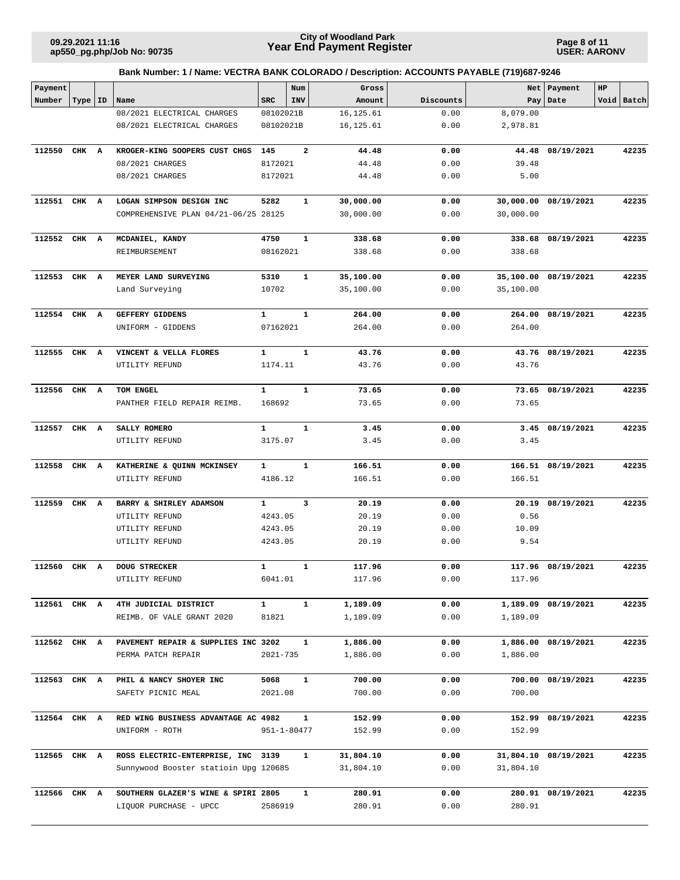**Page 8 of 11 USER: AARONV**

| Payment      |       |    |                                       |              | Num          | Gross      |           |           | Net Payment          | $_{\rm HP}$ |            |
|--------------|-------|----|---------------------------------------|--------------|--------------|------------|-----------|-----------|----------------------|-------------|------------|
| Number       | Type  | ID | Name                                  | <b>SRC</b>   | INV          | Amount     | Discounts |           | Pay Date             |             | Void Batch |
|              |       |    | 08/2021 ELECTRICAL CHARGES            | 08102021B    |              | 16, 125.61 | 0.00      | 8,079.00  |                      |             |            |
|              |       |    | 08/2021 ELECTRICAL CHARGES            | 08102021B    |              | 16, 125.61 | 0.00      | 2,978.81  |                      |             |            |
| 112550       | CHK A |    | KROGER-KING SOOPERS CUST CHGS         | 145          | $\mathbf{2}$ | 44.48      | 0.00      | 44.48     | 08/19/2021           |             | 42235      |
|              |       |    | 08/2021 CHARGES                       | 8172021      |              | 44.48      | 0.00      | 39.48     |                      |             |            |
|              |       |    | 08/2021 CHARGES                       | 8172021      |              | 44.48      | 0.00      | 5.00      |                      |             |            |
|              |       |    |                                       |              |              |            |           |           |                      |             |            |
| 112551       | CHK A |    | LOGAN SIMPSON DESIGN INC              | 5282         | 1            | 30,000.00  | 0.00      | 30,000.00 | 08/19/2021           |             | 42235      |
|              |       |    | COMPREHENSIVE PLAN 04/21-06/25 28125  |              |              | 30,000.00  | 0.00      | 30,000.00 |                      |             |            |
|              |       |    |                                       |              |              |            |           |           |                      |             |            |
| 112552       | CHK A |    | MCDANIEL, KANDY                       | 4750         | $\mathbf{1}$ | 338.68     | 0.00      |           | 338.68 08/19/2021    |             | 42235      |
|              |       |    | REIMBURSEMENT                         | 08162021     |              | 338.68     | 0.00      | 338.68    |                      |             |            |
|              |       |    |                                       |              |              |            |           |           |                      |             |            |
| 112553       | CHK A |    | MEYER LAND SURVEYING                  | 5310         | $\mathbf{1}$ | 35,100.00  | 0.00      |           | 35,100.00 08/19/2021 |             | 42235      |
|              |       |    | Land Surveying                        | 10702        |              | 35,100.00  | 0.00      | 35,100.00 |                      |             |            |
|              |       |    |                                       |              |              |            |           |           |                      |             |            |
| 112554       | CHK   | A  | GEFFERY GIDDENS                       | $\mathbf{1}$ | $\mathbf{1}$ | 264.00     | 0.00      | 264.00    | 08/19/2021           |             | 42235      |
|              |       |    | UNIFORM - GIDDENS                     | 07162021     |              | 264.00     | 0.00      | 264.00    |                      |             |            |
|              |       |    |                                       |              |              |            |           |           |                      |             |            |
| 112555       | CHK A |    | VINCENT & VELLA FLORES                | $\mathbf{1}$ | $\mathbf{1}$ | 43.76      | 0.00      |           | 43.76 08/19/2021     |             | 42235      |
|              |       |    | UTILITY REFUND                        | 1174.11      |              | 43.76      | 0.00      | 43.76     |                      |             |            |
|              |       |    |                                       |              |              |            |           |           |                      |             |            |
| 112556       | CHK A |    | TOM ENGEL                             | $\mathbf{1}$ | $\mathbf{1}$ | 73.65      | 0.00      |           | 73.65 08/19/2021     |             | 42235      |
|              |       |    | PANTHER FIELD REPAIR REIMB.           | 168692       |              | 73.65      | 0.00      | 73.65     |                      |             |            |
| 112557       | CHK A |    | SALLY ROMERO                          | $\mathbf{1}$ | $\mathbf{1}$ | 3.45       | 0.00      |           | 3.45 08/19/2021      |             | 42235      |
|              |       |    | UTILITY REFUND                        | 3175.07      |              | 3.45       | 0.00      | 3.45      |                      |             |            |
|              |       |    |                                       |              |              |            |           |           |                      |             |            |
| 112558       | CHK A |    | KATHERINE & QUINN MCKINSEY            | $\mathbf{1}$ | $\mathbf{1}$ | 166.51     | 0.00      |           | 166.51 08/19/2021    |             | 42235      |
|              |       |    | UTILITY REFUND                        | 4186.12      |              | 166.51     | 0.00      | 166.51    |                      |             |            |
|              |       |    |                                       |              |              |            |           |           |                      |             |            |
| 112559       | CHK A |    | BARRY & SHIRLEY ADAMSON               | $\mathbf{1}$ | 3            | 20.19      | 0.00      | 20.19     | 08/19/2021           |             | 42235      |
|              |       |    | UTILITY REFUND                        | 4243.05      |              | 20.19      | 0.00      | 0.56      |                      |             |            |
|              |       |    | UTILITY REFUND                        | 4243.05      |              | 20.19      | 0.00      | 10.09     |                      |             |            |
|              |       |    | UTILITY REFUND                        | 4243.05      |              | 20.19      | 0.00      | 9.54      |                      |             |            |
|              |       |    |                                       |              |              |            |           |           |                      |             |            |
| 112560       | CHK A |    | <b>DOUG STRECKER</b>                  | $\mathbf{1}$ | $\mathbf{1}$ | 117.96     | 0.00      |           | 117.96 08/19/2021    |             | 42235      |
|              |       |    | UTILITY REFUND                        | 6041.01      |              | 117.96     | 0.00      | 117.96    |                      |             |            |
|              |       |    |                                       |              |              |            |           |           |                      |             |            |
| 112561 CHK A |       |    | 4TH JUDICIAL DISTRICT                 | $\mathbf{1}$ | $\mathbf{1}$ | 1,189.09   | 0.00      |           | 1,189.09 08/19/2021  |             | 42235      |
|              |       |    | REIMB. OF VALE GRANT 2020             | 81821        |              | 1,189.09   | 0.00      | 1,189.09  |                      |             |            |
|              |       |    |                                       |              |              |            |           |           |                      |             |            |
| 112562 CHK A |       |    | PAVEMENT REPAIR & SUPPLIES INC 3202   |              | 1            | 1,886.00   | 0.00      |           | 1,886.00 08/19/2021  |             | 42235      |
|              |       |    | PERMA PATCH REPAIR                    | 2021-735     |              | 1,886.00   | 0.00      | 1,886.00  |                      |             |            |
| 112563 CHK A |       |    | PHIL & NANCY SHOYER INC               | 5068         | $\mathbf{1}$ | 700.00     | 0.00      | 700.00    | 08/19/2021           |             | 42235      |
|              |       |    | SAFETY PICNIC MEAL                    | 2021.08      |              | 700.00     | 0.00      | 700.00    |                      |             |            |
|              |       |    |                                       |              |              |            |           |           |                      |             |            |
| 112564 CHK A |       |    | RED WING BUSINESS ADVANTAGE AC 4982   |              | $\mathbf{1}$ | 152.99     | 0.00      | 152.99    | 08/19/2021           |             | 42235      |
|              |       |    | UNIFORM - ROTH                        | 951-1-80477  |              | 152.99     | 0.00      | 152.99    |                      |             |            |
|              |       |    |                                       |              |              |            |           |           |                      |             |            |
| 112565 CHK A |       |    | ROSS ELECTRIC-ENTERPRISE, INC 3139    |              | 1            | 31,804.10  | 0.00      |           | 31,804.10 08/19/2021 |             | 42235      |
|              |       |    | Sunnywood Booster statioin Upg 120685 |              |              | 31,804.10  | 0.00      | 31,804.10 |                      |             |            |
|              |       |    |                                       |              |              |            |           |           |                      |             |            |
| 112566 CHK A |       |    | SOUTHERN GLAZER'S WINE & SPIRI 2805   |              | $\mathbf{1}$ | 280.91     | 0.00      |           | 280.91 08/19/2021    |             | 42235      |
|              |       |    | LIQUOR PURCHASE - UPCC                | 2586919      |              | 280.91     | 0.00      | 280.91    |                      |             |            |
|              |       |    |                                       |              |              |            |           |           |                      |             |            |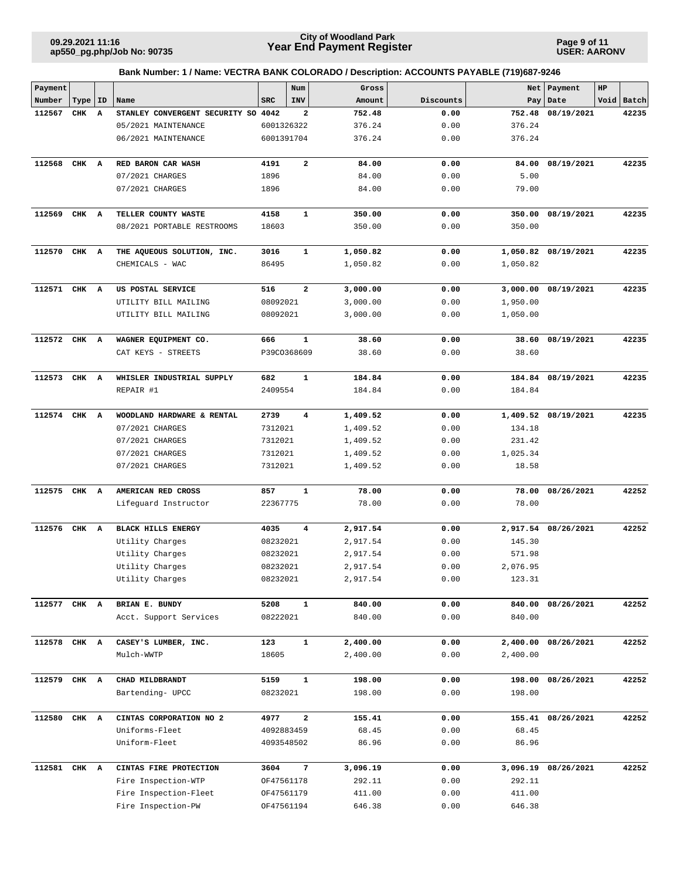**Page 9 of 11 USER: AARONV**

| Payment      |       |    |                                     |            | Num                     | Gross    |                                 |          | Net   Payment       | HP |            |
|--------------|-------|----|-------------------------------------|------------|-------------------------|----------|---------------------------------|----------|---------------------|----|------------|
| Number       | Type  | ID | Name                                | <b>SRC</b> | INV                     | Amount   | Discounts                       | Pay      | Date                |    | Void Batch |
| 112567       | CHK   | A  | STANLEY CONVERGENT SECURITY SO 4042 |            | 2                       | 752.48   | 0.00                            | 752.48   | 08/19/2021          |    | 42235      |
|              |       |    | 05/2021 MAINTENANCE                 | 6001326322 |                         | 376.24   | 0.00                            | 376.24   |                     |    |            |
|              |       |    | 06/2021 MAINTENANCE                 | 6001391704 |                         | 376.24   | 0.00                            | 376.24   |                     |    |            |
| 112568       | CHK A |    | RED BARON CAR WASH                  | 4191       | $\overline{\mathbf{2}}$ | 84.00    | 0.00                            | 84.00    | 08/19/2021          |    | 42235      |
|              |       |    | 07/2021 CHARGES                     | 1896       |                         | 84.00    | 0.00                            | 5.00     |                     |    |            |
|              |       |    | 07/2021 CHARGES                     | 1896       |                         | 84.00    | 0.00                            | 79.00    |                     |    |            |
|              |       |    |                                     |            |                         |          |                                 |          |                     |    |            |
| 112569       | CHK A |    | TELLER COUNTY WASTE                 | 4158       | $\mathbf{1}$            | 350.00   | 0.00                            | 350.00   | 08/19/2021          |    | 42235      |
|              |       |    | 08/2021 PORTABLE RESTROOMS          | 18603      |                         | 350.00   | 0.00                            | 350.00   |                     |    |            |
| 112570       | CHK A |    | THE AQUEOUS SOLUTION, INC.          | 3016       | $\mathbf{1}$            | 1,050.82 | 0.00                            |          | 1,050.82 08/19/2021 |    | 42235      |
|              |       |    | CHEMICALS - WAC                     | 86495      |                         | 1,050.82 | 0.00                            | 1,050.82 |                     |    |            |
|              |       |    |                                     |            |                         |          |                                 |          |                     |    |            |
| 112571       | CHK   | A  | US POSTAL SERVICE                   | 516        | $\mathbf{2}$            | 3,000.00 | 0.00                            |          | 3,000.00 08/19/2021 |    | 42235      |
|              |       |    | UTILITY BILL MAILING                | 08092021   |                         | 3,000.00 | 0.00                            | 1,950.00 |                     |    |            |
|              |       |    | UTILITY BILL MAILING                | 08092021   |                         | 3,000.00 | 0.00                            | 1,050.00 |                     |    |            |
| 112572 CHK A |       |    | WAGNER EQUIPMENT CO.                | 666        | 1                       | 38.60    | 0.00                            |          | 38.60 08/19/2021    |    | 42235      |
|              |       |    | CAT KEYS - STREETS                  |            | P39CO368609             | 38.60    | 0.00                            | 38.60    |                     |    |            |
|              |       |    |                                     |            |                         |          |                                 |          |                     |    |            |
| 112573       | CHK A |    | WHISLER INDUSTRIAL SUPPLY           | 682        | $\mathbf{1}$            | 184.84   | 0.00                            |          | 184.84 08/19/2021   |    | 42235      |
|              |       |    | REPAIR #1                           | 2409554    |                         | 184.84   | 0.00                            | 184.84   |                     |    |            |
| 112574 CHK A |       |    | WOODLAND HARDWARE & RENTAL          | 2739       | $\overline{\mathbf{4}}$ | 1,409.52 | 0.00                            |          | 1,409.52 08/19/2021 |    | 42235      |
|              |       |    | 07/2021 CHARGES                     | 7312021    |                         | 1,409.52 | 0.00                            | 134.18   |                     |    |            |
|              |       |    | 07/2021 CHARGES                     | 7312021    |                         | 1,409.52 | 0.00                            | 231.42   |                     |    |            |
|              |       |    | 07/2021 CHARGES                     | 7312021    |                         | 1,409.52 | 0.00                            | 1,025.34 |                     |    |            |
|              |       |    | 07/2021 CHARGES                     | 7312021    |                         | 1,409.52 | 0.00                            | 18.58    |                     |    |            |
|              |       |    |                                     |            |                         |          |                                 |          |                     |    |            |
| 112575       | CHK   | A  | AMERICAN RED CROSS                  | 857        | 1                       | 78.00    | 0.00                            | 78.00    | 08/26/2021          |    | 42252      |
|              |       |    | Lifeguard Instructor                | 22367775   |                         | 78.00    | 0.00                            | 78.00    |                     |    |            |
| 112576       | CHK A |    | <b>BLACK HILLS ENERGY</b>           | 4035       | $\overline{\mathbf{4}}$ | 2,917.54 | 0.00                            |          | 2,917.54 08/26/2021 |    | 42252      |
|              |       |    | Utility Charges                     | 08232021   |                         | 2,917.54 | 0.00                            | 145.30   |                     |    |            |
|              |       |    | Utility Charges                     | 08232021   |                         | 2,917.54 | 0.00                            | 571.98   |                     |    |            |
|              |       |    | Utility Charges                     | 08232021   |                         | 2,917.54 | 0.00                            | 2,076.95 |                     |    |            |
|              |       |    | Utility Charges                     | 08232021   |                         | 2,917.54 | ${\bf 0}$ . ${\bf 0}$ ${\bf 0}$ | 123.31   |                     |    |            |
| 112577 CHK A |       |    | BRIAN E. BUNDY                      | 5208       | $\mathbf{1}$            | 840.00   | 0.00                            |          | 840.00 08/26/2021   |    | 42252      |
|              |       |    | Acct. Support Services              | 08222021   |                         | 840.00   | 0.00                            | 840.00   |                     |    |            |
|              |       |    |                                     |            |                         |          |                                 |          |                     |    |            |
| 112578       | CHK A |    | CASEY'S LUMBER, INC.                | 123        | $\mathbf{1}$            | 2,400.00 | 0.00                            |          | 2,400.00 08/26/2021 |    | 42252      |
|              |       |    | Mulch-WWTP                          | 18605      |                         | 2,400.00 | 0.00                            | 2,400.00 |                     |    |            |
| 112579 CHK A |       |    | CHAD MILDBRANDT                     | 5159       | $\mathbf{1}$            | 198.00   | 0.00                            |          | 198.00 08/26/2021   |    | 42252      |
|              |       |    | Bartending- UPCC                    | 08232021   |                         | 198.00   | 0.00                            | 198.00   |                     |    |            |
| 112580       | CHK A |    | CINTAS CORPORATION NO 2             | 4977       | $\mathbf{2}$            | 155.41   | 0.00                            |          | 155.41 08/26/2021   |    | 42252      |
|              |       |    | Uniforms-Fleet                      | 4092883459 |                         | 68.45    | 0.00                            | 68.45    |                     |    |            |
|              |       |    | Uniform-Fleet                       | 4093548502 |                         | 86.96    | 0.00                            | 86.96    |                     |    |            |
|              |       |    |                                     |            |                         |          |                                 |          |                     |    |            |
| 112581 CHK A |       |    | CINTAS FIRE PROTECTION              | 3604       | 7                       | 3,096.19 | 0.00                            | 3,096.19 | 08/26/2021          |    | 42252      |
|              |       |    | Fire Inspection-WTP                 | OF47561178 |                         | 292.11   | 0.00                            | 292.11   |                     |    |            |
|              |       |    | Fire Inspection-Fleet               | OF47561179 |                         | 411.00   | 0.00                            | 411.00   |                     |    |            |
|              |       |    | Fire Inspection-PW                  | OF47561194 |                         | 646.38   | 0.00                            | 646.38   |                     |    |            |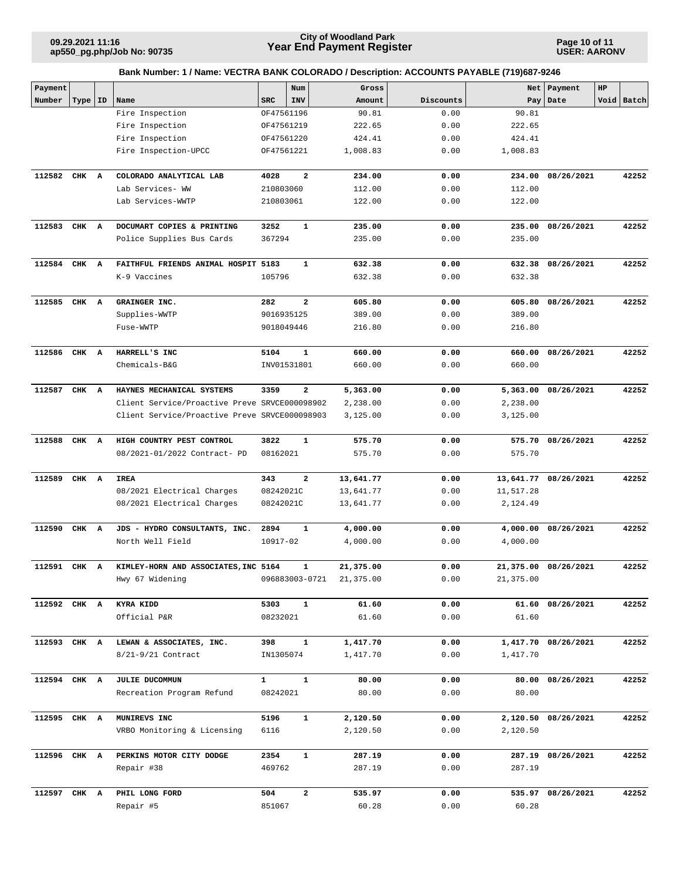**Page 10 of 11 USER: AARONV**

| Payment      |       |    |                                               |              | Num            | Gross                                            |           | Net       | Payment              | HP |            |
|--------------|-------|----|-----------------------------------------------|--------------|----------------|--------------------------------------------------|-----------|-----------|----------------------|----|------------|
| Number       | Type  | ID | Name                                          | <b>SRC</b>   | INV            | Amount                                           | Discounts | Pay       | Date                 |    | Void Batch |
|              |       |    | Fire Inspection                               |              | OF47561196     | 90.81                                            | 0.00      | 90.81     |                      |    |            |
|              |       |    | Fire Inspection                               |              | OF47561219     | 222.65                                           | 0.00      | 222.65    |                      |    |            |
|              |       |    | Fire Inspection                               |              | OF47561220     | 424.41                                           | 0.00      | 424.41    |                      |    |            |
|              |       |    | Fire Inspection-UPCC                          |              | OF47561221     | 1,008.83                                         | 0.00      | 1,008.83  |                      |    |            |
| 112582       | CHK A |    | COLORADO ANALYTICAL LAB                       | 4028         | $\mathbf{2}$   | 234.00                                           | 0.00      | 234.00    | 08/26/2021           |    | 42252      |
|              |       |    | Lab Services- WW                              | 210803060    |                | 112.00                                           | 0.00      | 112.00    |                      |    |            |
|              |       |    | Lab Services-WWTP                             | 210803061    |                | 122.00                                           | 0.00      | 122.00    |                      |    |            |
|              |       |    |                                               |              |                |                                                  |           |           |                      |    |            |
| 112583       | CHK A |    | DOCUMART COPIES & PRINTING                    | 3252         | $\mathbf 1$    | 235.00                                           | 0.00      | 235.00    | 08/26/2021           |    | 42252      |
|              |       |    | Police Supplies Bus Cards                     | 367294       |                | 235.00                                           | 0.00      | 235.00    |                      |    |            |
| 112584       | CHK   | A  | FAITHFUL FRIENDS ANIMAL HOSPIT 5183           |              | 1              | 632.38                                           | 0.00      |           | 632.38 08/26/2021    |    | 42252      |
|              |       |    | K-9 Vaccines                                  | 105796       |                | 632.38                                           | 0.00      | 632.38    |                      |    |            |
|              |       |    |                                               |              |                |                                                  |           |           |                      |    |            |
| 112585       | CHK A |    | GRAINGER INC.                                 | 282          | $\overline{a}$ | 605.80                                           | 0.00      | 605.80    | 08/26/2021           |    | 42252      |
|              |       |    | Supplies-WWTP                                 |              | 9016935125     | 389.00                                           | 0.00      | 389.00    |                      |    |            |
|              |       |    | Fuse-WWTP                                     |              | 9018049446     | 216.80                                           | 0.00      | 216.80    |                      |    |            |
|              |       |    |                                               |              |                |                                                  |           |           |                      |    |            |
| 112586       | CHK A |    | HARRELL'S INC                                 | 5104         | $\mathbf{1}$   | 660.00                                           | 0.00      |           | 660.00 08/26/2021    |    | 42252      |
|              |       |    | Chemicals-B&G                                 |              | INV01531801    | 660.00                                           | 0.00      | 660.00    |                      |    |            |
| 112587       | CHK A |    | HAYNES MECHANICAL SYSTEMS                     | 3359         | 2              | 5,363.00                                         | 0.00      |           | 5,363.00 08/26/2021  |    | 42252      |
|              |       |    | Client Service/Proactive Preve SRVCE000098902 |              |                | 2,238.00                                         | 0.00      | 2,238.00  |                      |    |            |
|              |       |    | Client Service/Proactive Preve SRVCE000098903 |              |                | 3,125.00                                         | 0.00      | 3,125.00  |                      |    |            |
|              |       |    |                                               |              |                |                                                  |           |           |                      |    |            |
| 112588       | CHK A |    | HIGH COUNTRY PEST CONTROL                     | 3822         | $\mathbf{1}$   | 575.70                                           | 0.00      |           | 575.70 08/26/2021    |    | 42252      |
|              |       |    | 08/2021-01/2022 Contract- PD                  | 08162021     |                | 575.70                                           | 0.00      | 575.70    |                      |    |            |
|              |       |    |                                               |              |                |                                                  |           |           |                      |    |            |
| 112589       | CHK A |    | IREA                                          | 343          | $\mathbf{2}$   | 13,641.77                                        | 0.00      |           | 13,641.77 08/26/2021 |    | 42252      |
|              |       |    | 08/2021 Electrical Charges                    | 08242021C    |                | 13,641.77                                        | 0.00      | 11,517.28 |                      |    |            |
|              |       |    | 08/2021 Electrical Charges                    | 08242021C    |                | 13,641.77                                        | 0.00      | 2,124.49  |                      |    |            |
| 112590       | CHK A |    | JDS - HYDRO CONSULTANTS, INC.                 | 2894         | $\mathbf 1$    | 4,000.00                                         | 0.00      |           | 4,000.00 08/26/2021  |    | 42252      |
|              |       |    | North Well Field                              | 10917-02     |                | 4,000.00                                         | 0.00      | 4,000.00  |                      |    |            |
|              |       |    |                                               |              |                |                                                  |           |           |                      |    |            |
| 112591 CHK A |       |    | KIMLEY-HORN AND ASSOCIATES, INC 5164          |              | 1              | 21,375.00                                        | 0.00      |           | 21,375.00 08/26/2021 |    | 42252      |
|              |       |    | Hwy 67 Widening                               |              |                | $096883003 - 0721 \qquad 21 \, , 375 \, . \, 00$ | 0.00      | 21,375.00 |                      |    |            |
| 112592 CHK A |       |    | KYRA KIDD                                     | 5303         | $\mathbf{1}$   | 61.60                                            | 0.00      |           | 61.60 08/26/2021     |    | 42252      |
|              |       |    | Official P&R                                  | 08232021     |                | 61.60                                            | 0.00      | 61.60     |                      |    |            |
|              |       |    |                                               |              |                |                                                  |           |           |                      |    |            |
| 112593 CHK A |       |    | LEWAN & ASSOCIATES, INC.                      | 398          | $\mathbf{1}$   | 1,417.70                                         | 0.00      |           | 1,417.70 08/26/2021  |    | 42252      |
|              |       |    | 8/21-9/21 Contract                            | IN1305074    |                | 1,417.70                                         | 0.00      | 1,417.70  |                      |    |            |
| 112594 CHK A |       |    | JULIE DUCOMMUN                                | $\mathbf{1}$ | $\mathbf{1}$   | 80.00                                            | 0.00      |           | 80.00 08/26/2021     |    | 42252      |
|              |       |    | Recreation Program Refund                     | 08242021     |                | 80.00                                            | 0.00      | 80.00     |                      |    |            |
|              |       |    |                                               |              |                |                                                  |           |           |                      |    |            |
| 112595 CHK A |       |    | MUNIREVS INC                                  | 5196         | $\mathbf{1}$   | 2,120.50                                         | 0.00      |           | 2,120.50 08/26/2021  |    | 42252      |
|              |       |    | VRBO Monitoring & Licensing                   | 6116         |                | 2,120.50                                         | 0.00      | 2,120.50  |                      |    |            |
|              |       |    |                                               |              |                |                                                  |           |           |                      |    |            |
| 112596 CHK A |       |    | PERKINS MOTOR CITY DODGE                      | 2354         | $\mathbf{1}$   | 287.19                                           | 0.00      |           | 287.19 08/26/2021    |    | 42252      |
|              |       |    | Repair #38                                    | 469762       |                | 287.19                                           | 0.00      | 287.19    |                      |    |            |
| 112597 CHK A |       |    | PHIL LONG FORD                                | 504          | $\mathbf{2}$   | 535.97                                           | 0.00      |           | 535.97 08/26/2021    |    | 42252      |
|              |       |    | Repair #5                                     | 851067       |                | 60.28                                            | 0.00      | 60.28     |                      |    |            |
|              |       |    |                                               |              |                |                                                  |           |           |                      |    |            |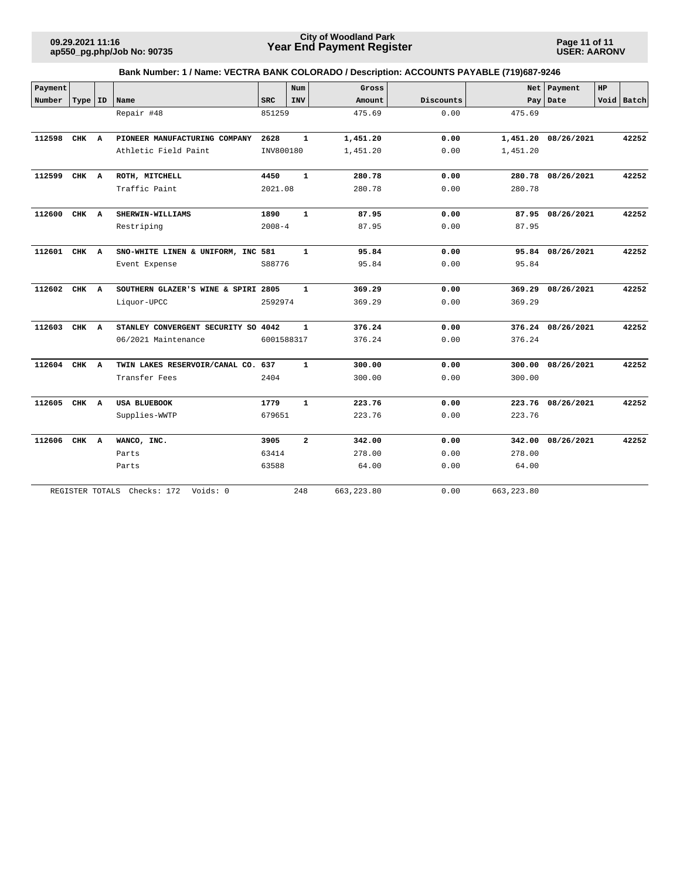**Page 11 of 11 USER: AARONV**

| Payment      |                 |                                     |            | Num            | Gross       |           |              | Net Payment         | <b>HP</b> |            |
|--------------|-----------------|-------------------------------------|------------|----------------|-------------|-----------|--------------|---------------------|-----------|------------|
| Number       | Type   ID       | Name                                | <b>SRC</b> | <b>INV</b>     | Amount      | Discounts | Pay          | Date                |           | Void Batch |
|              |                 | Repair #48                          | 851259     |                | 475.69      | 0.00      | 475.69       |                     |           |            |
|              |                 |                                     |            |                |             |           |              |                     |           |            |
| 112598       | CHK A           | PIONEER MANUFACTURING COMPANY       | 2628       | $\mathbf{1}$   | 1,451.20    | 0.00      |              | 1,451.20 08/26/2021 |           | 42252      |
|              |                 | Athletic Field Paint                | INV800180  |                | 1,451.20    | 0.00      | 1,451.20     |                     |           |            |
| 112599       | CHK A           | ROTH, MITCHELL                      | 4450       | $\mathbf{1}$   | 280.78      | 0.00      |              | 280.78 08/26/2021   |           | 42252      |
|              |                 | Traffic Paint                       | 2021.08    |                | 280.78      | 0.00      | 280.78       |                     |           |            |
| 112600       | CHK A           | SHERWIN-WILLIAMS                    | 1890       | $\mathbf{1}$   | 87.95       | 0.00      |              | 87.95 08/26/2021    |           | 42252      |
|              |                 | Restriping                          | $2008 - 4$ |                | 87.95       | 0.00      | 87.95        |                     |           |            |
| 112601 CHK A |                 | SNO-WHITE LINEN & UNIFORM, INC 581  |            | $\mathbf{1}$   | 95.84       | 0.00      |              | 95.84 08/26/2021    |           | 42252      |
|              |                 | Event Expense                       | S88776     |                | 95.84       | 0.00      | 95.84        |                     |           |            |
| 112602       | CHK A           | SOUTHERN GLAZER'S WINE & SPIRI 2805 |            | $\mathbf{1}$   | 369.29      | 0.00      |              | 369.29 08/26/2021   |           | 42252      |
|              |                 | Liquor-UPCC                         | 2592974    |                | 369.29      | 0.00      | 369.29       |                     |           |            |
| 112603       | CHK A           | STANLEY CONVERGENT SECURITY SO 4042 |            | $\mathbf{1}$   | 376.24      | 0.00      |              | 376.24 08/26/2021   |           | 42252      |
|              |                 | 06/2021 Maintenance                 | 6001588317 |                | 376.24      | 0.00      | 376.24       |                     |           |            |
| 112604       | CHK A           | TWIN LAKES RESERVOIR/CANAL CO. 637  |            | $\mathbf{1}$   | 300.00      | 0.00      |              | 300.00 08/26/2021   |           | 42252      |
|              |                 | Transfer Fees                       | 2404       |                | 300.00      | 0.00      | 300.00       |                     |           |            |
| 112605 CHK A |                 | <b>USA BLUEBOOK</b>                 | 1779       | $\mathbf{1}$   | 223.76      | 0.00      |              | 223.76 08/26/2021   |           | 42252      |
|              |                 | Supplies-WWTP                       | 679651     |                | 223.76      | 0.00      | 223.76       |                     |           |            |
| 112606 CHK A |                 | WANCO, INC.                         | 3905       | $\overline{a}$ | 342.00      | 0.00      |              | 342.00 08/26/2021   |           | 42252      |
|              |                 | Parts                               | 63414      |                | 278.00      | 0.00      | 278.00       |                     |           |            |
|              |                 | Parts                               | 63588      |                | 64.00       | 0.00      | 64.00        |                     |           |            |
|              | REGISTER TOTALS | Checks: 172<br>Voids: 0             |            | 248            | 663, 223.80 | 0.00      | 663, 223, 80 |                     |           |            |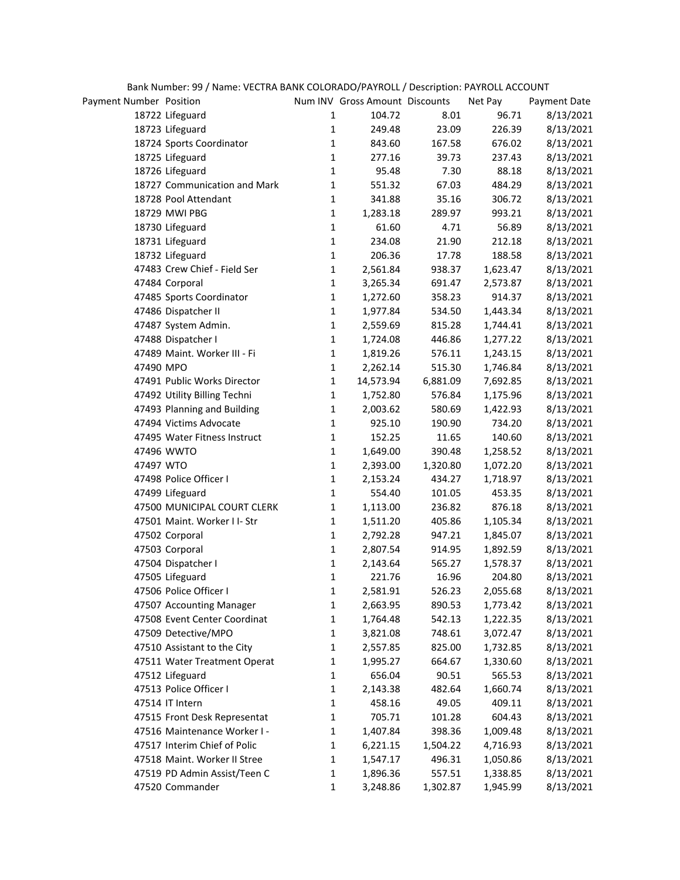|                         | Bank Number: 99 / Name: VECTRA BANK COLORADO/PAYROLL / Description: PAYROLL ACCOUNT |              |                                |          |          |              |
|-------------------------|-------------------------------------------------------------------------------------|--------------|--------------------------------|----------|----------|--------------|
| Payment Number Position |                                                                                     |              | Num INV Gross Amount Discounts |          | Net Pay  | Payment Date |
|                         | 18722 Lifeguard                                                                     | 1            | 104.72                         | 8.01     | 96.71    | 8/13/2021    |
|                         | 18723 Lifeguard                                                                     | $\mathbf{1}$ | 249.48                         | 23.09    | 226.39   | 8/13/2021    |
|                         | 18724 Sports Coordinator                                                            | $\mathbf{1}$ | 843.60                         | 167.58   | 676.02   | 8/13/2021    |
|                         | 18725 Lifeguard                                                                     | $\mathbf{1}$ | 277.16                         | 39.73    | 237.43   | 8/13/2021    |
|                         | 18726 Lifeguard                                                                     | $\mathbf{1}$ | 95.48                          | 7.30     | 88.18    | 8/13/2021    |
|                         | 18727 Communication and Mark                                                        | $\mathbf 1$  | 551.32                         | 67.03    | 484.29   | 8/13/2021    |
|                         | 18728 Pool Attendant                                                                | $\mathbf 1$  | 341.88                         | 35.16    | 306.72   | 8/13/2021    |
|                         | 18729 MWI PBG                                                                       | $\mathbf 1$  | 1,283.18                       | 289.97   | 993.21   | 8/13/2021    |
|                         | 18730 Lifeguard                                                                     | $\mathbf{1}$ | 61.60                          | 4.71     | 56.89    | 8/13/2021    |
|                         | 18731 Lifeguard                                                                     | $\mathbf{1}$ | 234.08                         | 21.90    | 212.18   | 8/13/2021    |
|                         | 18732 Lifeguard                                                                     | $\mathbf{1}$ | 206.36                         | 17.78    | 188.58   | 8/13/2021    |
|                         | 47483 Crew Chief - Field Ser                                                        | $\mathbf{1}$ | 2,561.84                       | 938.37   | 1,623.47 | 8/13/2021    |
|                         | 47484 Corporal                                                                      | $\mathbf 1$  | 3,265.34                       | 691.47   | 2,573.87 | 8/13/2021    |
|                         | 47485 Sports Coordinator                                                            | $\mathbf 1$  | 1,272.60                       | 358.23   | 914.37   | 8/13/2021    |
|                         | 47486 Dispatcher II                                                                 | $\mathbf 1$  | 1,977.84                       | 534.50   | 1,443.34 | 8/13/2021    |
|                         | 47487 System Admin.                                                                 | $\mathbf 1$  | 2,559.69                       | 815.28   | 1,744.41 | 8/13/2021    |
|                         | 47488 Dispatcher I                                                                  | $\mathbf 1$  | 1,724.08                       | 446.86   | 1,277.22 | 8/13/2021    |
|                         | 47489 Maint. Worker III - Fi                                                        | $\mathbf 1$  | 1,819.26                       | 576.11   | 1,243.15 | 8/13/2021    |
| 47490 MPO               |                                                                                     | $\mathbf 1$  | 2,262.14                       | 515.30   | 1,746.84 | 8/13/2021    |
|                         | 47491 Public Works Director                                                         | $\mathbf 1$  | 14,573.94                      | 6,881.09 | 7,692.85 | 8/13/2021    |
|                         | 47492 Utility Billing Techni                                                        | $\mathbf 1$  | 1,752.80                       | 576.84   | 1,175.96 | 8/13/2021    |
|                         | 47493 Planning and Building                                                         | $\mathbf{1}$ | 2,003.62                       | 580.69   | 1,422.93 | 8/13/2021    |
|                         | 47494 Victims Advocate                                                              | $\mathbf 1$  | 925.10                         | 190.90   | 734.20   | 8/13/2021    |
|                         | 47495 Water Fitness Instruct                                                        | $\mathbf 1$  | 152.25                         | 11.65    | 140.60   | 8/13/2021    |
|                         | 47496 WWTO                                                                          | $\mathbf 1$  | 1,649.00                       | 390.48   | 1,258.52 | 8/13/2021    |
| 47497 WTO               |                                                                                     | $\mathbf 1$  | 2,393.00                       | 1,320.80 | 1,072.20 | 8/13/2021    |
|                         | 47498 Police Officer I                                                              | $\mathbf{1}$ | 2,153.24                       | 434.27   | 1,718.97 | 8/13/2021    |
|                         | 47499 Lifeguard                                                                     | $\mathbf 1$  | 554.40                         | 101.05   | 453.35   | 8/13/2021    |
|                         | 47500 MUNICIPAL COURT CLERK                                                         | $\mathbf{1}$ | 1,113.00                       | 236.82   | 876.18   | 8/13/2021    |
|                         | 47501 Maint. Worker I I- Str                                                        | $\mathbf{1}$ | 1,511.20                       | 405.86   | 1,105.34 | 8/13/2021    |
|                         | 47502 Corporal                                                                      | $\mathbf 1$  | 2,792.28                       | 947.21   | 1,845.07 | 8/13/2021    |
|                         | 47503 Corporal                                                                      | $\mathbf{1}$ | 2,807.54                       | 914.95   | 1,892.59 | 8/13/2021    |
|                         | 47504 Dispatcher I                                                                  | 1            | 2,143.64                       | 565.27   | 1,578.37 | 8/13/2021    |
|                         | 47505 Lifeguard                                                                     | 1            | 221.76                         | 16.96    | 204.80   | 8/13/2021    |
|                         | 47506 Police Officer I                                                              | 1            | 2,581.91                       | 526.23   | 2,055.68 | 8/13/2021    |
|                         | 47507 Accounting Manager                                                            | $\mathbf 1$  | 2,663.95                       | 890.53   | 1,773.42 | 8/13/2021    |
|                         | 47508 Event Center Coordinat                                                        | 1            | 1,764.48                       | 542.13   | 1,222.35 | 8/13/2021    |
|                         | 47509 Detective/MPO                                                                 | 1            | 3,821.08                       | 748.61   | 3,072.47 | 8/13/2021    |
|                         | 47510 Assistant to the City                                                         | 1            | 2,557.85                       | 825.00   | 1,732.85 | 8/13/2021    |
|                         | 47511 Water Treatment Operat                                                        | 1            | 1,995.27                       | 664.67   | 1,330.60 | 8/13/2021    |
|                         | 47512 Lifeguard                                                                     | 1            | 656.04                         | 90.51    | 565.53   | 8/13/2021    |
|                         | 47513 Police Officer I                                                              | 1            | 2,143.38                       | 482.64   | 1,660.74 | 8/13/2021    |
|                         | 47514 IT Intern                                                                     | 1            | 458.16                         | 49.05    | 409.11   | 8/13/2021    |
|                         | 47515 Front Desk Representat                                                        | $\mathbf{1}$ | 705.71                         | 101.28   | 604.43   | 8/13/2021    |
|                         | 47516 Maintenance Worker I -                                                        | $\mathbf{1}$ | 1,407.84                       | 398.36   | 1,009.48 | 8/13/2021    |
|                         | 47517 Interim Chief of Polic                                                        | $\mathbf{1}$ | 6,221.15                       | 1,504.22 | 4,716.93 | 8/13/2021    |
|                         | 47518 Maint. Worker II Stree                                                        | 1            | 1,547.17                       | 496.31   | 1,050.86 | 8/13/2021    |
|                         | 47519 PD Admin Assist/Teen C                                                        | $\mathbf{1}$ | 1,896.36                       | 557.51   | 1,338.85 | 8/13/2021    |
|                         | 47520 Commander                                                                     | $\mathbf{1}$ | 3,248.86                       | 1,302.87 | 1,945.99 | 8/13/2021    |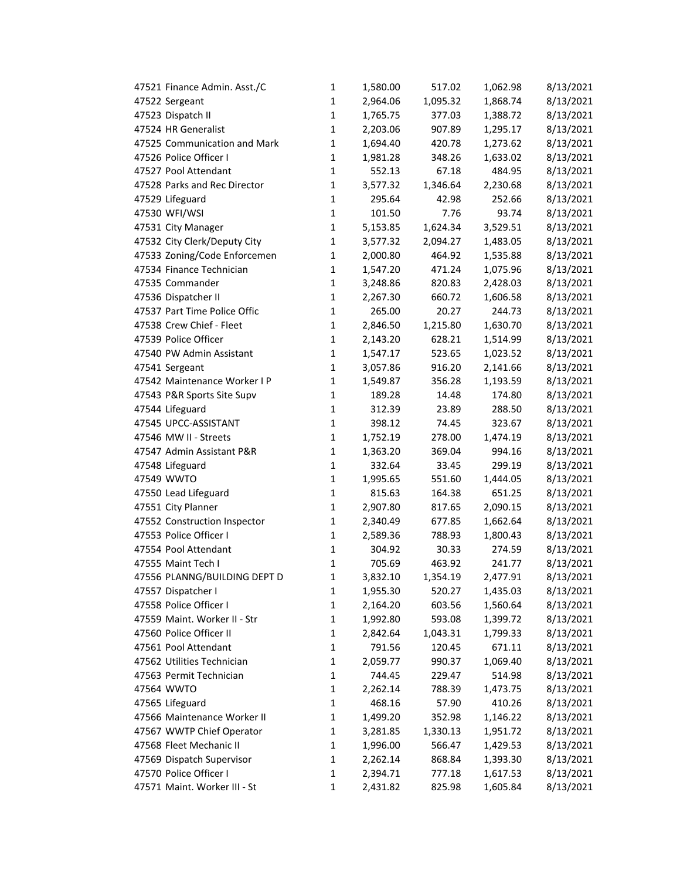| 47521 Finance Admin. Asst./C | $\mathbf{1}$ | 1,580.00 | 517.02   | 1,062.98 | 8/13/2021 |
|------------------------------|--------------|----------|----------|----------|-----------|
| 47522 Sergeant               | $\mathbf{1}$ | 2,964.06 | 1,095.32 | 1,868.74 | 8/13/2021 |
| 47523 Dispatch II            | $\mathbf{1}$ | 1,765.75 | 377.03   | 1,388.72 | 8/13/2021 |
| 47524 HR Generalist          | $\mathbf{1}$ | 2,203.06 | 907.89   | 1,295.17 | 8/13/2021 |
| 47525 Communication and Mark | 1            | 1,694.40 | 420.78   | 1,273.62 | 8/13/2021 |
| 47526 Police Officer I       | $\mathbf{1}$ | 1,981.28 | 348.26   | 1,633.02 | 8/13/2021 |
| 47527 Pool Attendant         | 1            | 552.13   | 67.18    | 484.95   | 8/13/2021 |
| 47528 Parks and Rec Director | $\mathbf{1}$ | 3,577.32 | 1,346.64 | 2,230.68 | 8/13/2021 |
| 47529 Lifeguard              | $\mathbf{1}$ | 295.64   | 42.98    | 252.66   | 8/13/2021 |
| 47530 WFI/WSI                | $\mathbf{1}$ | 101.50   | 7.76     | 93.74    | 8/13/2021 |
| 47531 City Manager           | $\mathbf{1}$ | 5,153.85 | 1,624.34 | 3,529.51 | 8/13/2021 |
| 47532 City Clerk/Deputy City | $\mathbf{1}$ | 3,577.32 | 2,094.27 | 1,483.05 | 8/13/2021 |
| 47533 Zoning/Code Enforcemen | $\mathbf{1}$ | 2,000.80 | 464.92   | 1,535.88 | 8/13/2021 |
| 47534 Finance Technician     | $\mathbf{1}$ | 1,547.20 | 471.24   | 1,075.96 | 8/13/2021 |
| 47535 Commander              | $\mathbf{1}$ | 3,248.86 | 820.83   | 2,428.03 | 8/13/2021 |
| 47536 Dispatcher II          | $\mathbf{1}$ | 2,267.30 | 660.72   | 1,606.58 | 8/13/2021 |
| 47537 Part Time Police Offic | $\mathbf{1}$ | 265.00   | 20.27    | 244.73   | 8/13/2021 |
| 47538 Crew Chief - Fleet     | $\mathbf{1}$ | 2,846.50 | 1,215.80 | 1,630.70 | 8/13/2021 |
| 47539 Police Officer         | $\mathbf{1}$ | 2,143.20 | 628.21   | 1,514.99 | 8/13/2021 |
| 47540 PW Admin Assistant     | $\mathbf{1}$ | 1,547.17 | 523.65   | 1,023.52 | 8/13/2021 |
| 47541 Sergeant               | $\mathbf{1}$ | 3,057.86 | 916.20   | 2,141.66 | 8/13/2021 |
| 47542 Maintenance Worker I P | $\mathbf{1}$ | 1,549.87 | 356.28   | 1,193.59 | 8/13/2021 |
| 47543 P&R Sports Site Supv   | $\mathbf{1}$ | 189.28   | 14.48    | 174.80   | 8/13/2021 |
| 47544 Lifeguard              | $\mathbf{1}$ | 312.39   | 23.89    | 288.50   | 8/13/2021 |
| 47545 UPCC-ASSISTANT         | $\mathbf{1}$ | 398.12   | 74.45    | 323.67   | 8/13/2021 |
| 47546 MW II - Streets        | $\mathbf{1}$ | 1,752.19 | 278.00   | 1,474.19 | 8/13/2021 |
| 47547 Admin Assistant P&R    | $\mathbf{1}$ | 1,363.20 | 369.04   | 994.16   | 8/13/2021 |
| 47548 Lifeguard              | $\mathbf{1}$ | 332.64   | 33.45    | 299.19   | 8/13/2021 |
| 47549 WWTO                   | $\mathbf{1}$ | 1,995.65 | 551.60   | 1,444.05 | 8/13/2021 |
| 47550 Lead Lifeguard         | $\mathbf{1}$ | 815.63   | 164.38   | 651.25   | 8/13/2021 |
| 47551 City Planner           | $\mathbf{1}$ | 2,907.80 | 817.65   | 2,090.15 | 8/13/2021 |
| 47552 Construction Inspector | $\mathbf{1}$ | 2,340.49 | 677.85   | 1,662.64 | 8/13/2021 |
| 47553 Police Officer I       | $\mathbf{1}$ | 2,589.36 | 788.93   | 1,800.43 | 8/13/2021 |
| 47554 Pool Attendant         | $\mathbf{1}$ | 304.92   | 30.33    | 274.59   | 8/13/2021 |
| 47555 Maint Tech I           | $\mathbf{1}$ | 705.69   | 463.92   | 241.77   | 8/13/2021 |
| 47556 PLANNG/BUILDING DEPT D | 1            | 3,832.10 | 1,354.19 | 2,477.91 | 8/13/2021 |
| 47557 Dispatcher I           | 1            | 1,955.30 | 520.27   | 1,435.03 | 8/13/2021 |
| 47558 Police Officer I       | $\mathbf 1$  | 2,164.20 | 603.56   | 1,560.64 | 8/13/2021 |
| 47559 Maint. Worker II - Str | 1            | 1,992.80 | 593.08   | 1,399.72 | 8/13/2021 |
| 47560 Police Officer II      | 1            | 2,842.64 | 1,043.31 | 1,799.33 | 8/13/2021 |
| 47561 Pool Attendant         | $\mathbf{1}$ | 791.56   | 120.45   | 671.11   | 8/13/2021 |
| 47562 Utilities Technician   | $\mathbf{1}$ | 2,059.77 | 990.37   | 1,069.40 | 8/13/2021 |
| 47563 Permit Technician      | $\mathbf{1}$ | 744.45   | 229.47   | 514.98   | 8/13/2021 |
| 47564 WWTO                   | $\mathbf 1$  | 2,262.14 | 788.39   | 1,473.75 | 8/13/2021 |
| 47565 Lifeguard              | $\mathbf 1$  | 468.16   | 57.90    | 410.26   | 8/13/2021 |
| 47566 Maintenance Worker II  | $\mathbf{1}$ | 1,499.20 | 352.98   | 1,146.22 | 8/13/2021 |
| 47567 WWTP Chief Operator    | $\mathbf{1}$ | 3,281.85 | 1,330.13 | 1,951.72 | 8/13/2021 |
| 47568 Fleet Mechanic II      | $\mathbf{1}$ | 1,996.00 | 566.47   | 1,429.53 | 8/13/2021 |
| 47569 Dispatch Supervisor    | $\mathbf{1}$ | 2,262.14 | 868.84   | 1,393.30 | 8/13/2021 |
| 47570 Police Officer I       | $\mathbf{1}$ | 2,394.71 | 777.18   | 1,617.53 | 8/13/2021 |
| 47571 Maint. Worker III - St | 1            | 2,431.82 | 825.98   | 1,605.84 | 8/13/2021 |
|                              |              |          |          |          |           |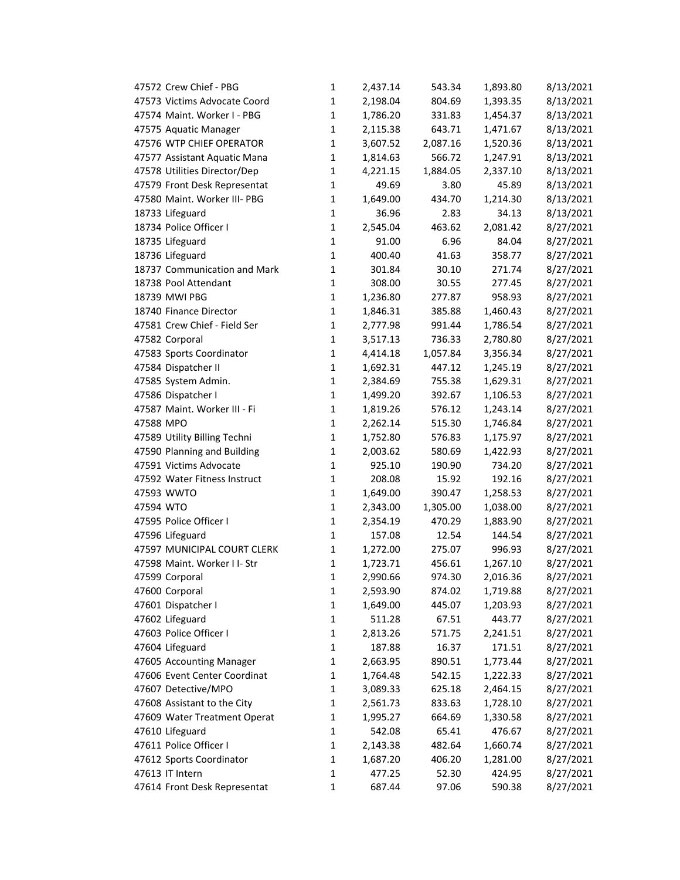| 47572 Crew Chief - PBG       | $\mathbf{1}$ | 2,437.14 | 543.34   | 1,893.80 | 8/13/2021 |
|------------------------------|--------------|----------|----------|----------|-----------|
| 47573 Victims Advocate Coord | 1            | 2,198.04 | 804.69   | 1,393.35 | 8/13/2021 |
| 47574 Maint. Worker I - PBG  | 1            | 1,786.20 | 331.83   | 1,454.37 | 8/13/2021 |
| 47575 Aquatic Manager        | 1            | 2,115.38 | 643.71   | 1,471.67 | 8/13/2021 |
| 47576 WTP CHIEF OPERATOR     | 1            | 3,607.52 | 2,087.16 | 1,520.36 | 8/13/2021 |
| 47577 Assistant Aquatic Mana | 1            | 1,814.63 | 566.72   | 1,247.91 | 8/13/2021 |
| 47578 Utilities Director/Dep | 1            | 4,221.15 | 1,884.05 | 2,337.10 | 8/13/2021 |
| 47579 Front Desk Representat | 1            | 49.69    | 3.80     | 45.89    | 8/13/2021 |
| 47580 Maint. Worker III- PBG | 1            | 1,649.00 | 434.70   | 1,214.30 | 8/13/2021 |
| 18733 Lifeguard              | 1            | 36.96    | 2.83     | 34.13    | 8/13/2021 |
| 18734 Police Officer I       | $\mathbf{1}$ | 2,545.04 | 463.62   | 2,081.42 | 8/27/2021 |
| 18735 Lifeguard              | $\mathbf{1}$ | 91.00    | 6.96     | 84.04    | 8/27/2021 |
| 18736 Lifeguard              | $\mathbf{1}$ | 400.40   | 41.63    | 358.77   | 8/27/2021 |
| 18737 Communication and Mark | $\mathbf{1}$ | 301.84   | 30.10    | 271.74   | 8/27/2021 |
| 18738 Pool Attendant         | $\mathbf{1}$ | 308.00   | 30.55    | 277.45   | 8/27/2021 |
| 18739 MWI PBG                | 1            | 1,236.80 | 277.87   | 958.93   | 8/27/2021 |
| 18740 Finance Director       | 1            | 1,846.31 | 385.88   | 1,460.43 | 8/27/2021 |
| 47581 Crew Chief - Field Ser | 1            | 2,777.98 | 991.44   | 1,786.54 | 8/27/2021 |
| 47582 Corporal               | 1            | 3,517.13 | 736.33   | 2,780.80 | 8/27/2021 |
| 47583 Sports Coordinator     | 1            | 4,414.18 | 1,057.84 | 3,356.34 | 8/27/2021 |
| 47584 Dispatcher II          | $\mathbf 1$  | 1,692.31 | 447.12   | 1,245.19 | 8/27/2021 |
| 47585 System Admin.          | $\mathbf{1}$ | 2,384.69 | 755.38   | 1,629.31 | 8/27/2021 |
| 47586 Dispatcher I           | 1            | 1,499.20 | 392.67   | 1,106.53 | 8/27/2021 |
| 47587 Maint. Worker III - Fi | $\mathbf{1}$ | 1,819.26 | 576.12   | 1,243.14 | 8/27/2021 |
| 47588 MPO                    | 1            | 2,262.14 | 515.30   | 1,746.84 | 8/27/2021 |
| 47589 Utility Billing Techni | 1            | 1,752.80 | 576.83   | 1,175.97 | 8/27/2021 |
| 47590 Planning and Building  | 1            | 2,003.62 | 580.69   | 1,422.93 | 8/27/2021 |
| 47591 Victims Advocate       | 1            | 925.10   | 190.90   | 734.20   | 8/27/2021 |
| 47592 Water Fitness Instruct | $\mathbf{1}$ | 208.08   | 15.92    | 192.16   | 8/27/2021 |
| 47593 WWTO                   | 1            | 1,649.00 | 390.47   | 1,258.53 | 8/27/2021 |
| 47594 WTO                    | $\mathbf 1$  | 2,343.00 | 1,305.00 | 1,038.00 | 8/27/2021 |
| 47595 Police Officer I       | 1            | 2,354.19 | 470.29   | 1,883.90 | 8/27/2021 |
| 47596 Lifeguard              | $\mathbf{1}$ | 157.08   | 12.54    | 144.54   | 8/27/2021 |
| 47597 MUNICIPAL COURT CLERK  | $\mathbf{1}$ | 1,272.00 | 275.07   | 996.93   | 8/27/2021 |
| 47598 Maint. Worker I I- Str | $\mathbf{1}$ | 1,723.71 | 456.61   | 1,267.10 | 8/27/2021 |
| 47599 Corporal               | 1            | 2,990.66 | 974.30   | 2,016.36 | 8/27/2021 |
| 47600 Corporal               | 1            | 2,593.90 | 874.02   | 1,719.88 | 8/27/2021 |
| 47601 Dispatcher I           | 1            | 1,649.00 | 445.07   | 1,203.93 | 8/27/2021 |
| 47602 Lifeguard              | 1            | 511.28   | 67.51    | 443.77   | 8/27/2021 |
| 47603 Police Officer I       | 1            | 2,813.26 | 571.75   | 2,241.51 | 8/27/2021 |
| 47604 Lifeguard              | 1            | 187.88   | 16.37    | 171.51   | 8/27/2021 |
| 47605 Accounting Manager     | 1            | 2,663.95 | 890.51   | 1,773.44 | 8/27/2021 |
| 47606 Event Center Coordinat | 1            | 1,764.48 | 542.15   | 1,222.33 | 8/27/2021 |
| 47607 Detective/MPO          | 1            | 3,089.33 | 625.18   | 2,464.15 | 8/27/2021 |
| 47608 Assistant to the City  | 1            | 2,561.73 | 833.63   | 1,728.10 | 8/27/2021 |
| 47609 Water Treatment Operat | 1            | 1,995.27 | 664.69   | 1,330.58 | 8/27/2021 |
| 47610 Lifeguard              | 1            | 542.08   | 65.41    | 476.67   | 8/27/2021 |
| 47611 Police Officer I       | 1            | 2,143.38 | 482.64   | 1,660.74 | 8/27/2021 |
| 47612 Sports Coordinator     | 1            | 1,687.20 | 406.20   | 1,281.00 | 8/27/2021 |
| 47613 IT Intern              | 1            | 477.25   | 52.30    | 424.95   | 8/27/2021 |
| 47614 Front Desk Representat | 1            | 687.44   | 97.06    | 590.38   | 8/27/2021 |
|                              |              |          |          |          |           |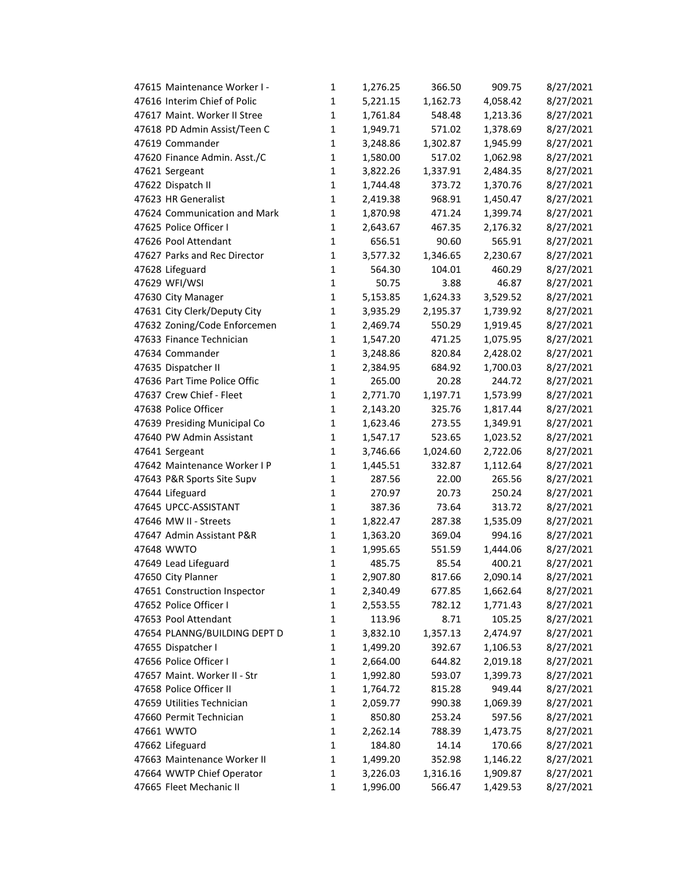| 47615 Maintenance Worker I - | 1            | 1,276.25 | 366.50   | 909.75   | 8/27/2021 |
|------------------------------|--------------|----------|----------|----------|-----------|
| 47616 Interim Chief of Polic | $\mathbf{1}$ | 5,221.15 | 1,162.73 | 4,058.42 | 8/27/2021 |
| 47617 Maint. Worker II Stree | $\mathbf{1}$ | 1,761.84 | 548.48   | 1,213.36 | 8/27/2021 |
| 47618 PD Admin Assist/Teen C | $\mathbf{1}$ | 1,949.71 | 571.02   | 1,378.69 | 8/27/2021 |
| 47619 Commander              | $\mathbf{1}$ | 3,248.86 | 1,302.87 | 1,945.99 | 8/27/2021 |
| 47620 Finance Admin. Asst./C | 1            | 1,580.00 | 517.02   | 1,062.98 | 8/27/2021 |
| 47621 Sergeant               | $\mathbf{1}$ | 3,822.26 | 1,337.91 | 2,484.35 | 8/27/2021 |
| 47622 Dispatch II            | $\mathbf{1}$ | 1,744.48 | 373.72   | 1,370.76 | 8/27/2021 |
| 47623 HR Generalist          | $\mathbf{1}$ | 2,419.38 | 968.91   | 1,450.47 | 8/27/2021 |
| 47624 Communication and Mark | $\mathbf{1}$ | 1,870.98 | 471.24   | 1,399.74 | 8/27/2021 |
| 47625 Police Officer I       | $\mathbf{1}$ | 2,643.67 | 467.35   | 2,176.32 | 8/27/2021 |
| 47626 Pool Attendant         | $\mathbf{1}$ | 656.51   | 90.60    | 565.91   | 8/27/2021 |
| 47627 Parks and Rec Director | $\mathbf{1}$ | 3,577.32 | 1,346.65 | 2,230.67 | 8/27/2021 |
| 47628 Lifeguard              | $\mathbf{1}$ | 564.30   | 104.01   | 460.29   | 8/27/2021 |
| 47629 WFI/WSI                | $\mathbf{1}$ | 50.75    | 3.88     | 46.87    | 8/27/2021 |
| 47630 City Manager           | $\mathbf{1}$ | 5,153.85 | 1,624.33 | 3,529.52 | 8/27/2021 |
| 47631 City Clerk/Deputy City | $\mathbf{1}$ | 3,935.29 | 2,195.37 | 1,739.92 | 8/27/2021 |
| 47632 Zoning/Code Enforcemen | 1            | 2,469.74 | 550.29   | 1,919.45 | 8/27/2021 |
| 47633 Finance Technician     | $\mathbf{1}$ | 1,547.20 | 471.25   | 1,075.95 | 8/27/2021 |
| 47634 Commander              | $\mathbf{1}$ | 3,248.86 | 820.84   | 2,428.02 | 8/27/2021 |
| 47635 Dispatcher II          | $\mathbf{1}$ | 2,384.95 | 684.92   | 1,700.03 | 8/27/2021 |
| 47636 Part Time Police Offic | $\mathbf{1}$ | 265.00   | 20.28    | 244.72   | 8/27/2021 |
| 47637 Crew Chief - Fleet     | $\mathbf{1}$ | 2,771.70 | 1,197.71 | 1,573.99 | 8/27/2021 |
| 47638 Police Officer         | $\mathbf{1}$ | 2,143.20 | 325.76   | 1,817.44 | 8/27/2021 |
| 47639 Presiding Municipal Co | $\mathbf{1}$ | 1,623.46 | 273.55   | 1,349.91 | 8/27/2021 |
| 47640 PW Admin Assistant     | 1            | 1,547.17 | 523.65   | 1,023.52 | 8/27/2021 |
| 47641 Sergeant               | $\mathbf{1}$ | 3,746.66 | 1,024.60 | 2,722.06 | 8/27/2021 |
| 47642 Maintenance Worker I P | $\mathbf{1}$ | 1,445.51 | 332.87   | 1,112.64 | 8/27/2021 |
| 47643 P&R Sports Site Supv   | $\mathbf{1}$ | 287.56   | 22.00    | 265.56   | 8/27/2021 |
| 47644 Lifeguard              | $\mathbf{1}$ | 270.97   | 20.73    | 250.24   | 8/27/2021 |
| 47645 UPCC-ASSISTANT         | $\mathbf{1}$ | 387.36   | 73.64    | 313.72   | 8/27/2021 |
| 47646 MW II - Streets        | $\mathbf{1}$ | 1,822.47 | 287.38   | 1,535.09 | 8/27/2021 |
| 47647 Admin Assistant P&R    | $\mathbf{1}$ | 1,363.20 | 369.04   | 994.16   | 8/27/2021 |
| 47648 WWTO                   | $\mathbf{1}$ | 1,995.65 | 551.59   | 1,444.06 | 8/27/2021 |
| 47649 Lead Lifeguard         | $\mathbf 1$  | 485.75   | 85.54    | 400.21   | 8/27/2021 |
| 47650 City Planner           | 1            | 2,907.80 | 817.66   | 2,090.14 | 8/27/2021 |
| 47651 Construction Inspector | 1            | 2,340.49 | 677.85   | 1,662.64 | 8/27/2021 |
| 47652 Police Officer I       | $\mathbf{1}$ | 2,553.55 | 782.12   | 1,771.43 | 8/27/2021 |
| 47653 Pool Attendant         | $\mathbf 1$  | 113.96   | 8.71     | 105.25   | 8/27/2021 |
| 47654 PLANNG/BUILDING DEPT D | 1            | 3,832.10 | 1,357.13 | 2,474.97 | 8/27/2021 |
| 47655 Dispatcher I           | $\mathbf{1}$ | 1,499.20 | 392.67   | 1,106.53 | 8/27/2021 |
| 47656 Police Officer I       | $\mathbf{1}$ | 2,664.00 | 644.82   | 2,019.18 | 8/27/2021 |
| 47657 Maint. Worker II - Str | 1            | 1,992.80 | 593.07   | 1,399.73 | 8/27/2021 |
| 47658 Police Officer II      | $\mathbf 1$  | 1,764.72 | 815.28   | 949.44   | 8/27/2021 |
| 47659 Utilities Technician   | $\mathbf{1}$ | 2,059.77 | 990.38   | 1,069.39 | 8/27/2021 |
| 47660 Permit Technician      | $\mathbf{1}$ | 850.80   | 253.24   | 597.56   | 8/27/2021 |
| 47661 WWTO                   | $\mathbf{1}$ | 2,262.14 | 788.39   | 1,473.75 | 8/27/2021 |
| 47662 Lifeguard              | $\mathbf{1}$ | 184.80   | 14.14    | 170.66   | 8/27/2021 |
| 47663 Maintenance Worker II  | $\mathbf 1$  | 1,499.20 | 352.98   | 1,146.22 | 8/27/2021 |
| 47664 WWTP Chief Operator    | $\mathbf{1}$ | 3,226.03 | 1,316.16 | 1,909.87 | 8/27/2021 |
| 47665 Fleet Mechanic II      | $\mathbf{1}$ | 1,996.00 | 566.47   | 1,429.53 | 8/27/2021 |
|                              |              |          |          |          |           |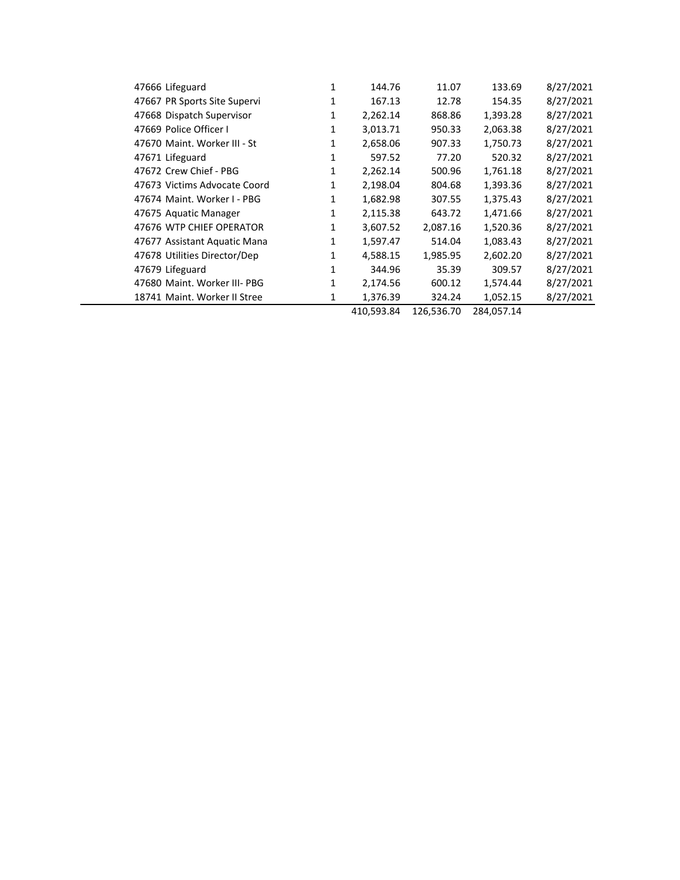| 47666 Lifeguard              | 1            | 144.76     | 11.07      | 133.69     | 8/27/2021 |
|------------------------------|--------------|------------|------------|------------|-----------|
| 47667 PR Sports Site Supervi | 1            | 167.13     | 12.78      | 154.35     | 8/27/2021 |
| 47668 Dispatch Supervisor    | 1            | 2,262.14   | 868.86     | 1,393.28   | 8/27/2021 |
| 47669 Police Officer I       | 1            | 3,013.71   | 950.33     | 2,063.38   | 8/27/2021 |
| 47670 Maint. Worker III - St | $\mathbf{1}$ | 2,658.06   | 907.33     | 1,750.73   | 8/27/2021 |
| 47671 Lifeguard              | 1            | 597.52     | 77.20      | 520.32     | 8/27/2021 |
| 47672 Crew Chief - PBG       | $\mathbf{1}$ | 2,262.14   | 500.96     | 1,761.18   | 8/27/2021 |
| 47673 Victims Advocate Coord | $\mathbf{1}$ | 2,198.04   | 804.68     | 1,393.36   | 8/27/2021 |
| 47674 Maint, Worker I - PBG  | 1            | 1,682.98   | 307.55     | 1,375.43   | 8/27/2021 |
| 47675 Aquatic Manager        | $\mathbf{1}$ | 2,115.38   | 643.72     | 1,471.66   | 8/27/2021 |
| 47676 WTP CHIEF OPERATOR     | $\mathbf{1}$ | 3,607.52   | 2,087.16   | 1,520.36   | 8/27/2021 |
| 47677 Assistant Aquatic Mana | $\mathbf{1}$ | 1,597.47   | 514.04     | 1,083.43   | 8/27/2021 |
| 47678 Utilities Director/Dep | 1            | 4,588.15   | 1,985.95   | 2,602.20   | 8/27/2021 |
| 47679 Lifeguard              | 1            | 344.96     | 35.39      | 309.57     | 8/27/2021 |
| 47680 Maint. Worker III- PBG | $\mathbf{1}$ | 2,174.56   | 600.12     | 1,574.44   | 8/27/2021 |
| 18741 Maint. Worker II Stree | $\mathbf{1}$ | 1,376.39   | 324.24     | 1,052.15   | 8/27/2021 |
|                              |              | 410,593.84 | 126,536.70 | 284,057.14 |           |